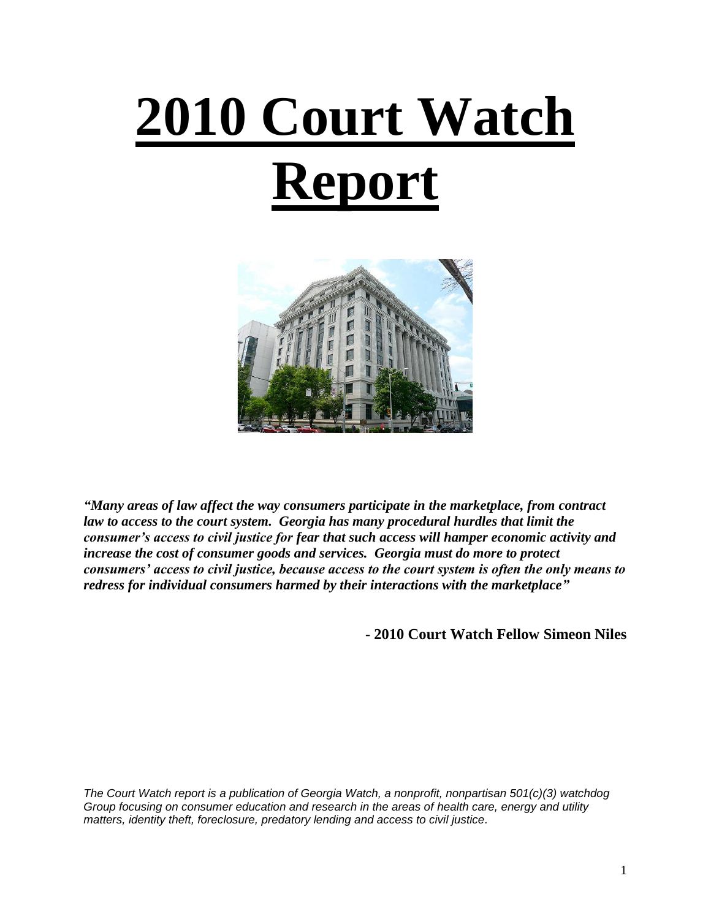# **2010 Court Watch Report**



*"Many areas of law affect the way consumers participate in the marketplace, from contract law to access to the court system. Georgia has many procedural hurdles that limit the consumer's access to civil justice for fear that such access will hamper economic activity and increase the cost of consumer goods and services. Georgia must do more to protect consumers' access to civil justice, because access to the court system is often the only means to redress for individual consumers harmed by their interactions with the marketplace"*

**- 2010 Court Watch Fellow Simeon Niles**

*The Court Watch report is a publication of Georgia Watch, a nonprofit, nonpartisan 501(c)(3) watchdog Group focusing on consumer education and research in the areas of health care, energy and utility matters, identity theft, foreclosure, predatory lending and access to civil justice.*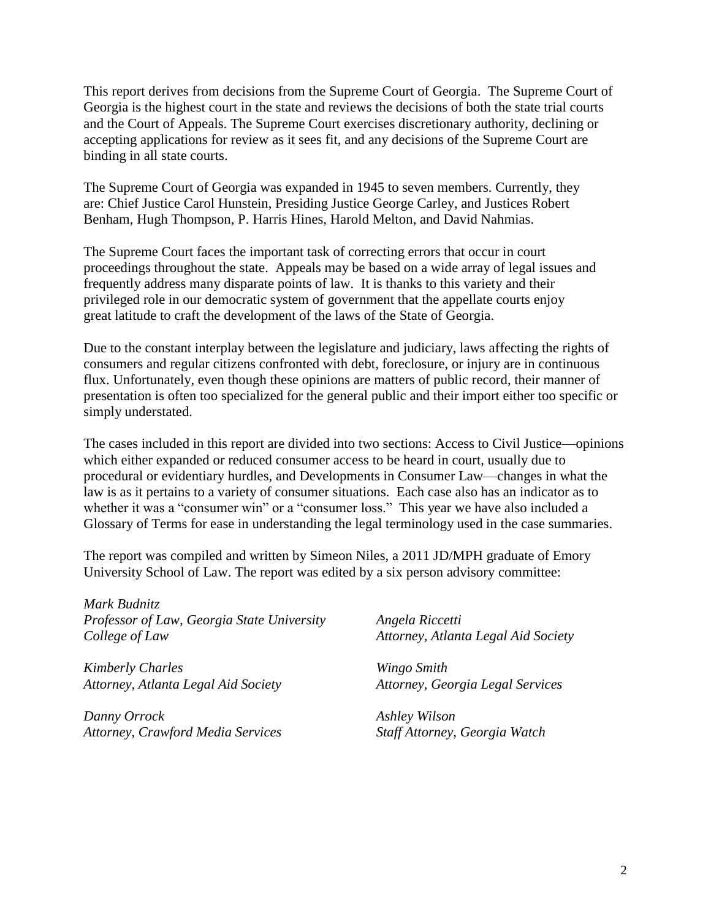This report derives from decisions from the Supreme Court of Georgia. The Supreme Court of Georgia is the highest court in the state and reviews the decisions of both the state trial courts and the Court of Appeals. The Supreme Court exercises discretionary authority, declining or accepting applications for review as it sees fit, and any decisions of the Supreme Court are binding in all state courts.

The Supreme Court of Georgia was expanded in 1945 to seven members. Currently, they are: Chief Justice Carol Hunstein, Presiding Justice George Carley, and Justices Robert Benham, Hugh Thompson, P. Harris Hines, Harold Melton, and David Nahmias.

The Supreme Court faces the important task of correcting errors that occur in court proceedings throughout the state. Appeals may be based on a wide array of legal issues and frequently address many disparate points of law. It is thanks to this variety and their privileged role in our democratic system of government that the appellate courts enjoy great latitude to craft the development of the laws of the State of Georgia.

Due to the constant interplay between the legislature and judiciary, laws affecting the rights of consumers and regular citizens confronted with debt, foreclosure, or injury are in continuous flux. Unfortunately, even though these opinions are matters of public record, their manner of presentation is often too specialized for the general public and their import either too specific or simply understated.

The cases included in this report are divided into two sections: Access to Civil Justice—opinions which either expanded or reduced consumer access to be heard in court, usually due to procedural or evidentiary hurdles, and Developments in Consumer Law—changes in what the law is as it pertains to a variety of consumer situations. Each case also has an indicator as to whether it was a "consumer win" or a "consumer loss." This year we have also included a Glossary of Terms for ease in understanding the legal terminology used in the case summaries.

The report was compiled and written by Simeon Niles, a 2011 JD/MPH graduate of Emory University School of Law. The report was edited by a six person advisory committee:

*Mark Budnitz Professor of Law, Georgia State University College of Law*

*Kimberly Charles Attorney, Atlanta Legal Aid Society*

*Danny Orrock Attorney, Crawford Media Services* *Angela Riccetti Attorney, Atlanta Legal Aid Society*

*Wingo Smith Attorney, Georgia Legal Services*

*Ashley Wilson Staff Attorney, Georgia Watch*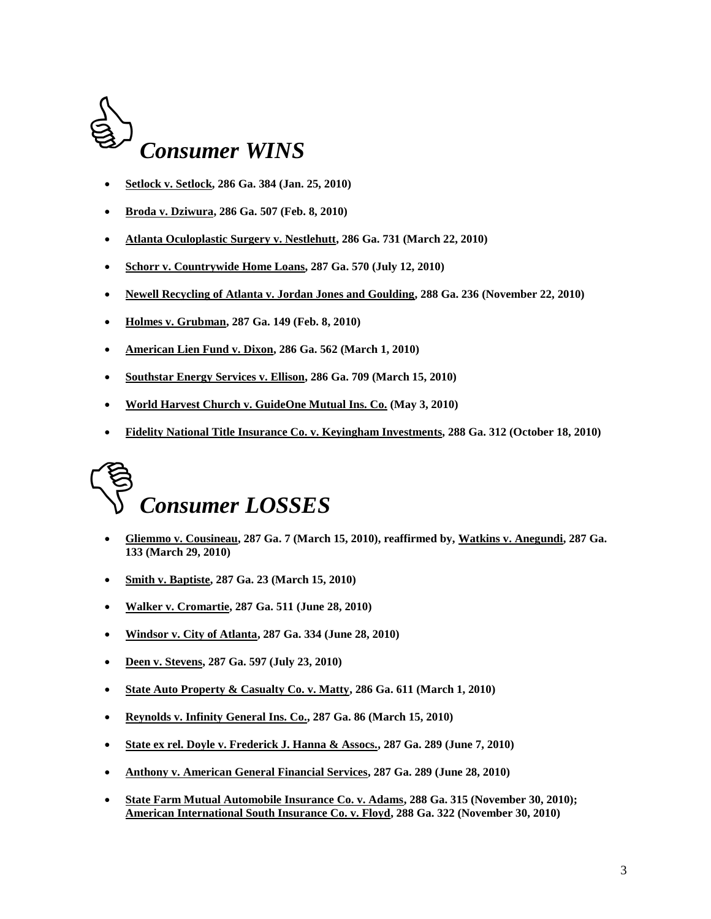

- **Setlock v. Setlock, 286 Ga. 384 (Jan. 25, 2010)**
- **Broda v. Dziwura, 286 Ga. 507 (Feb. 8, 2010)**
- **Atlanta Oculoplastic Surgery v. Nestlehutt, 286 Ga. 731 (March 22, 2010)**
- **Schorr v. Countrywide Home Loans, 287 Ga. 570 (July 12, 2010)**
- **Newell Recycling of Atlanta v. Jordan Jones and Goulding, 288 Ga. 236 (November 22, 2010)**
- **Holmes v. Grubman, 287 Ga. 149 (Feb. 8, 2010)**
- **American Lien Fund v. Dixon, 286 Ga. 562 (March 1, 2010)**
- **Southstar Energy Services v. Ellison, 286 Ga. 709 (March 15, 2010)**
- **World Harvest Church v. GuideOne Mutual Ins. Co. (May 3, 2010)**
- **Fidelity National Title Insurance Co. v. Keyingham Investments, 288 Ga. 312 (October 18, 2010)**

## *Consumer LOSSES*

- **Gliemmo v. Cousineau, 287 Ga. 7 (March 15, 2010), reaffirmed by, Watkins v. Anegundi, 287 Ga. 133 (March 29, 2010)**
- **Smith v. Baptiste, 287 Ga. 23 (March 15, 2010)**
- **Walker v. Cromartie, 287 Ga. 511 (June 28, 2010)**
- **Windsor v. City of Atlanta, 287 Ga. 334 (June 28, 2010)**
- **Deen v. Stevens, 287 Ga. 597 (July 23, 2010)**
- **State Auto Property & Casualty Co. v. Matty, 286 Ga. 611 (March 1, 2010)**
- **Reynolds v. Infinity General Ins. Co., 287 Ga. 86 (March 15, 2010)**
- **State ex rel. Doyle v. Frederick J. Hanna & Assocs., 287 Ga. 289 (June 7, 2010)**
- **Anthony v. American General Financial Services, 287 Ga. 289 (June 28, 2010)**
- **State Farm Mutual Automobile Insurance Co. v. Adams, 288 Ga. 315 (November 30, 2010); American International South Insurance Co. v. Floyd, 288 Ga. 322 (November 30, 2010)**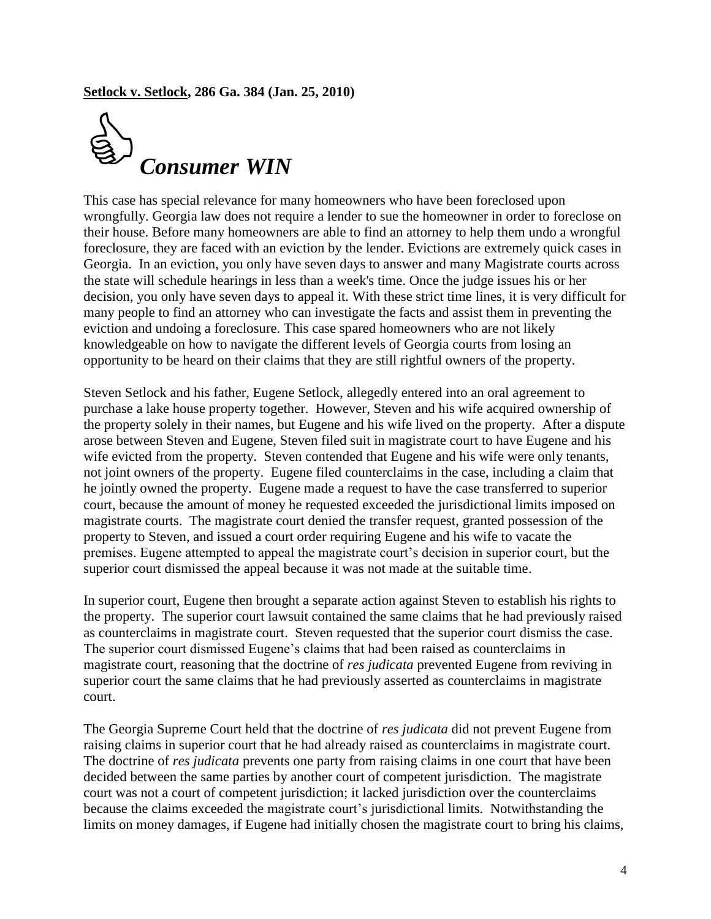**Setlock v. Setlock, 286 Ga. 384 (Jan. 25, 2010)**



This case has special relevance for many homeowners who have been foreclosed upon wrongfully. Georgia law does not require a lender to sue the homeowner in order to foreclose on their house. Before many homeowners are able to find an attorney to help them undo a wrongful foreclosure, they are faced with an eviction by the lender. Evictions are extremely quick cases in Georgia. In an eviction, you only have seven days to answer and many Magistrate courts across the state will schedule hearings in less than a week's time. Once the judge issues his or her decision, you only have seven days to appeal it. With these strict time lines, it is very difficult for many people to find an attorney who can investigate the facts and assist them in preventing the eviction and undoing a foreclosure. This case spared homeowners who are not likely knowledgeable on how to navigate the different levels of Georgia courts from losing an opportunity to be heard on their claims that they are still rightful owners of the property.

Steven Setlock and his father, Eugene Setlock, allegedly entered into an oral agreement to purchase a lake house property together. However, Steven and his wife acquired ownership of the property solely in their names, but Eugene and his wife lived on the property. After a dispute arose between Steven and Eugene, Steven filed suit in magistrate court to have Eugene and his wife evicted from the property. Steven contended that Eugene and his wife were only tenants, not joint owners of the property. Eugene filed counterclaims in the case, including a claim that he jointly owned the property. Eugene made a request to have the case transferred to superior court, because the amount of money he requested exceeded the jurisdictional limits imposed on magistrate courts. The magistrate court denied the transfer request, granted possession of the property to Steven, and issued a court order requiring Eugene and his wife to vacate the premises. Eugene attempted to appeal the magistrate court's decision in superior court, but the superior court dismissed the appeal because it was not made at the suitable time.

In superior court, Eugene then brought a separate action against Steven to establish his rights to the property. The superior court lawsuit contained the same claims that he had previously raised as counterclaims in magistrate court. Steven requested that the superior court dismiss the case. The superior court dismissed Eugene's claims that had been raised as counterclaims in magistrate court, reasoning that the doctrine of *res judicata* prevented Eugene from reviving in superior court the same claims that he had previously asserted as counterclaims in magistrate court.

The Georgia Supreme Court held that the doctrine of *res judicata* did not prevent Eugene from raising claims in superior court that he had already raised as counterclaims in magistrate court. The doctrine of *res judicata* prevents one party from raising claims in one court that have been decided between the same parties by another court of competent jurisdiction. The magistrate court was not a court of competent jurisdiction; it lacked jurisdiction over the counterclaims because the claims exceeded the magistrate court's jurisdictional limits. Notwithstanding the limits on money damages, if Eugene had initially chosen the magistrate court to bring his claims,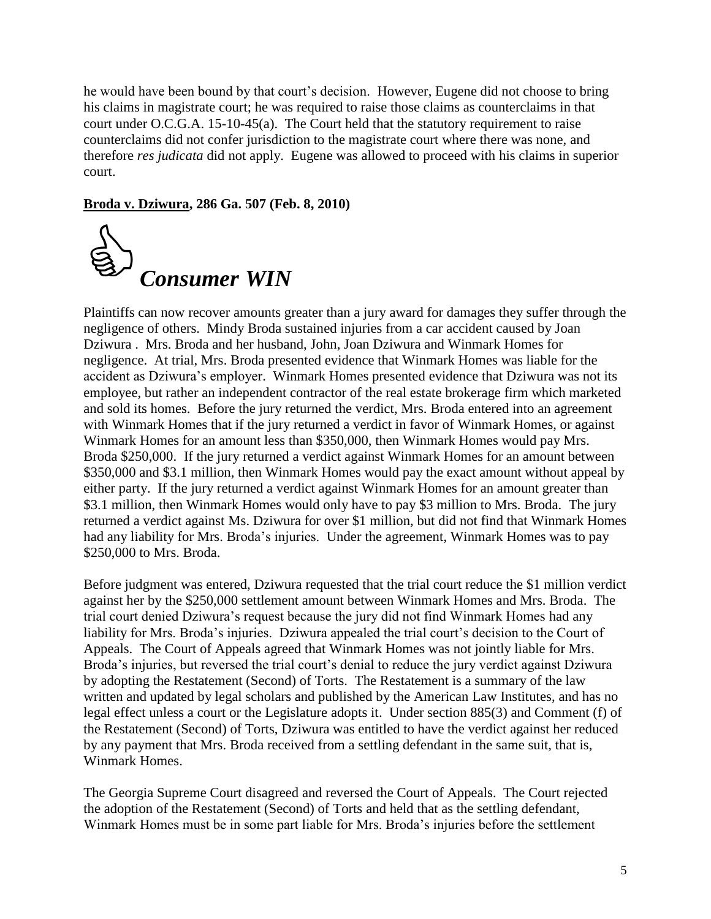he would have been bound by that court's decision. However, Eugene did not choose to bring his claims in magistrate court; he was required to raise those claims as counterclaims in that court under O.C.G.A. 15-10-45(a). The Court held that the statutory requirement to raise counterclaims did not confer jurisdiction to the magistrate court where there was none, and therefore *res judicata* did not apply. Eugene was allowed to proceed with his claims in superior court.

**Broda v. Dziwura, 286 Ga. 507 (Feb. 8, 2010)**



Plaintiffs can now recover amounts greater than a jury award for damages they suffer through the negligence of others. Mindy Broda sustained injuries from a car accident caused by Joan Dziwura . Mrs. Broda and her husband, John, Joan Dziwura and Winmark Homes for negligence. At trial, Mrs. Broda presented evidence that Winmark Homes was liable for the accident as Dziwura's employer. Winmark Homes presented evidence that Dziwura was not its employee, but rather an independent contractor of the real estate brokerage firm which marketed and sold its homes. Before the jury returned the verdict, Mrs. Broda entered into an agreement with Winmark Homes that if the jury returned a verdict in favor of Winmark Homes, or against Winmark Homes for an amount less than \$350,000, then Winmark Homes would pay Mrs. Broda \$250,000. If the jury returned a verdict against Winmark Homes for an amount between \$350,000 and \$3.1 million, then Winmark Homes would pay the exact amount without appeal by either party. If the jury returned a verdict against Winmark Homes for an amount greater than \$3.1 million, then Winmark Homes would only have to pay \$3 million to Mrs. Broda. The jury returned a verdict against Ms. Dziwura for over \$1 million, but did not find that Winmark Homes had any liability for Mrs. Broda's injuries. Under the agreement, Winmark Homes was to pay \$250,000 to Mrs. Broda.

Before judgment was entered, Dziwura requested that the trial court reduce the \$1 million verdict against her by the \$250,000 settlement amount between Winmark Homes and Mrs. Broda. The trial court denied Dziwura's request because the jury did not find Winmark Homes had any liability for Mrs. Broda's injuries. Dziwura appealed the trial court's decision to the Court of Appeals. The Court of Appeals agreed that Winmark Homes was not jointly liable for Mrs. Broda's injuries, but reversed the trial court's denial to reduce the jury verdict against Dziwura by adopting the Restatement (Second) of Torts. The Restatement is a summary of the law written and updated by legal scholars and published by the American Law Institutes, and has no legal effect unless a court or the Legislature adopts it. Under section 885(3) and Comment (f) of the Restatement (Second) of Torts, Dziwura was entitled to have the verdict against her reduced by any payment that Mrs. Broda received from a settling defendant in the same suit, that is, Winmark Homes.

The Georgia Supreme Court disagreed and reversed the Court of Appeals. The Court rejected the adoption of the Restatement (Second) of Torts and held that as the settling defendant, Winmark Homes must be in some part liable for Mrs. Broda's injuries before the settlement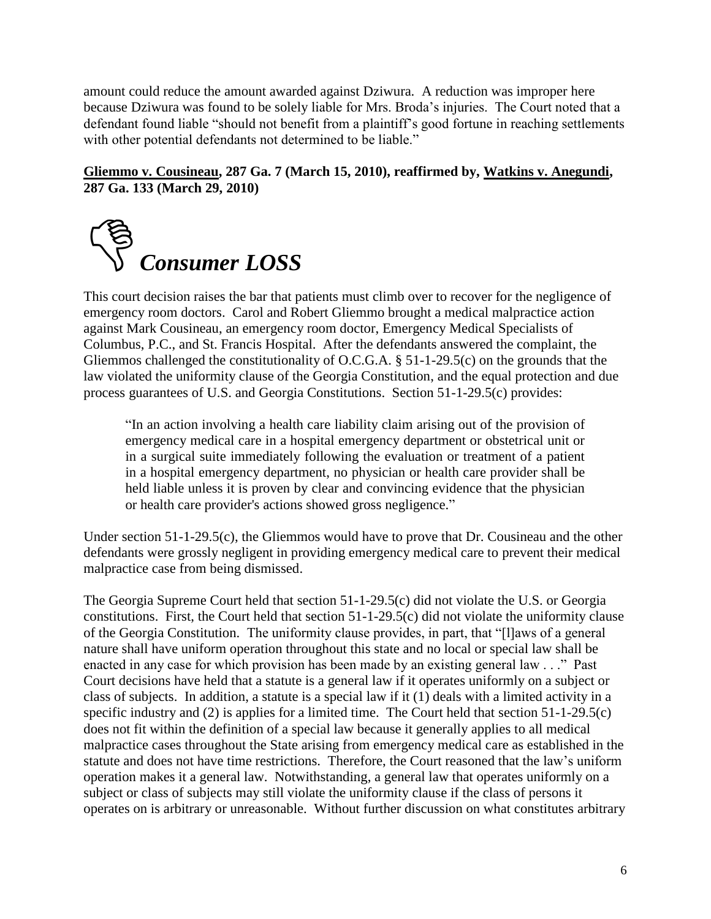amount could reduce the amount awarded against Dziwura. A reduction was improper here because Dziwura was found to be solely liable for Mrs. Broda's injuries. The Court noted that a defendant found liable "should not benefit from a plaintiff's good fortune in reaching settlements with other potential defendants not determined to be liable."

#### **Gliemmo v. Cousineau, 287 Ga. 7 (March 15, 2010), reaffirmed by, Watkins v. Anegundi, 287 Ga. 133 (March 29, 2010)**



This court decision raises the bar that patients must climb over to recover for the negligence of emergency room doctors. Carol and Robert Gliemmo brought a medical malpractice action against Mark Cousineau, an emergency room doctor, Emergency Medical Specialists of Columbus, P.C., and St. Francis Hospital. After the defendants answered the complaint, the Gliemmos challenged the constitutionality of O.C.G.A. § 51-1-29.5(c) on the grounds that the law violated the uniformity clause of the Georgia Constitution, and the equal protection and due process guarantees of U.S. and Georgia Constitutions. Section 51-1-29.5(c) provides:

―In an action involving a health care liability claim arising out of the provision of emergency medical care in a hospital emergency department or obstetrical unit or in a surgical suite immediately following the evaluation or treatment of a patient in a hospital emergency department, no physician or health care provider shall be held liable unless it is proven by clear and convincing evidence that the physician or health care provider's actions showed gross negligence."

Under section 51-1-29.5(c), the Gliemmos would have to prove that Dr. Cousineau and the other defendants were grossly negligent in providing emergency medical care to prevent their medical malpractice case from being dismissed.

The Georgia Supreme Court held that section 51-1-29.5(c) did not violate the U.S. or Georgia constitutions. First, the Court held that section 51-1-29.5(c) did not violate the uniformity clause of the Georgia Constitution. The uniformity clause provides, in part, that "[I]aws of a general nature shall have uniform operation throughout this state and no local or special law shall be enacted in any case for which provision has been made by an existing general law  $\ldots$  " Past Court decisions have held that a statute is a general law if it operates uniformly on a subject or class of subjects. In addition, a statute is a special law if it (1) deals with a limited activity in a specific industry and (2) is applies for a limited time. The Court held that section 51-1-29.5(c) does not fit within the definition of a special law because it generally applies to all medical malpractice cases throughout the State arising from emergency medical care as established in the statute and does not have time restrictions. Therefore, the Court reasoned that the law's uniform operation makes it a general law. Notwithstanding, a general law that operates uniformly on a subject or class of subjects may still violate the uniformity clause if the class of persons it operates on is arbitrary or unreasonable. Without further discussion on what constitutes arbitrary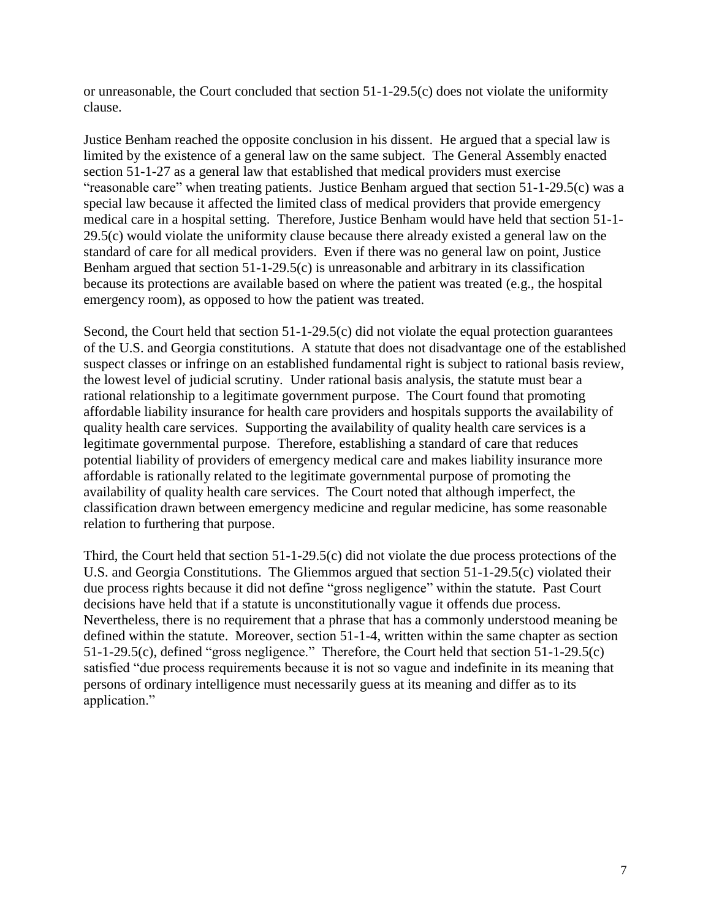or unreasonable, the Court concluded that section 51-1-29.5(c) does not violate the uniformity clause.

Justice Benham reached the opposite conclusion in his dissent. He argued that a special law is limited by the existence of a general law on the same subject. The General Assembly enacted section 51-1-27 as a general law that established that medical providers must exercise "reasonable care" when treating patients. Justice Benham argued that section  $51-1-29.5(c)$  was a special law because it affected the limited class of medical providers that provide emergency medical care in a hospital setting. Therefore, Justice Benham would have held that section 51-1- 29.5(c) would violate the uniformity clause because there already existed a general law on the standard of care for all medical providers. Even if there was no general law on point, Justice Benham argued that section 51-1-29.5(c) is unreasonable and arbitrary in its classification because its protections are available based on where the patient was treated (e.g., the hospital emergency room), as opposed to how the patient was treated.

Second, the Court held that section 51-1-29.5(c) did not violate the equal protection guarantees of the U.S. and Georgia constitutions. A statute that does not disadvantage one of the established suspect classes or infringe on an established fundamental right is subject to rational basis review, the lowest level of judicial scrutiny. Under rational basis analysis, the statute must bear a rational relationship to a legitimate government purpose. The Court found that promoting affordable liability insurance for health care providers and hospitals supports the availability of quality health care services. Supporting the availability of quality health care services is a legitimate governmental purpose. Therefore, establishing a standard of care that reduces potential liability of providers of emergency medical care and makes liability insurance more affordable is rationally related to the legitimate governmental purpose of promoting the availability of quality health care services. The Court noted that although imperfect, the classification drawn between emergency medicine and regular medicine, has some reasonable relation to furthering that purpose.

Third, the Court held that section 51-1-29.5(c) did not violate the due process protections of the U.S. and Georgia Constitutions. The Gliemmos argued that section 51-1-29.5(c) violated their due process rights because it did not define "gross negligence" within the statute. Past Court decisions have held that if a statute is unconstitutionally vague it offends due process. Nevertheless, there is no requirement that a phrase that has a commonly understood meaning be defined within the statute. Moreover, section 51-1-4, written within the same chapter as section 51-1-29.5(c), defined "gross negligence." Therefore, the Court held that section  $\overline{51}$ -1-29.5(c) satisfied "due process requirements because it is not so vague and indefinite in its meaning that persons of ordinary intelligence must necessarily guess at its meaning and differ as to its application."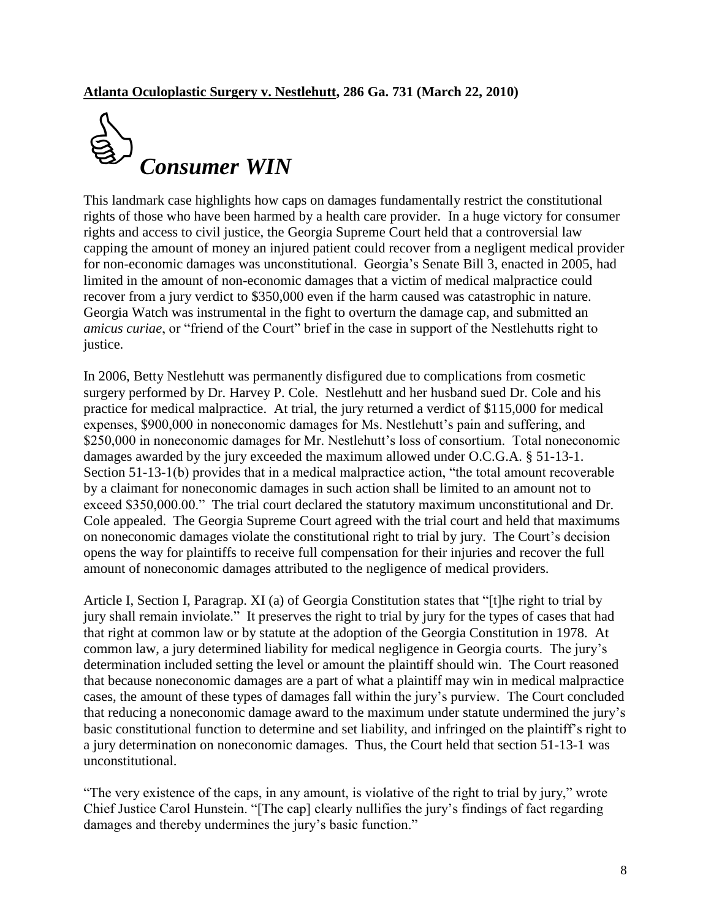

This landmark case highlights how caps on damages fundamentally restrict the constitutional rights of those who have been harmed by a health care provider. In a huge victory for consumer rights and access to civil justice, the Georgia Supreme Court held that a controversial law capping the amount of money an injured patient could recover from a negligent medical provider for non-economic damages was unconstitutional. Georgia's Senate Bill 3, enacted in 2005, had limited in the amount of non-economic damages that a victim of medical malpractice could recover from a jury verdict to \$350,000 even if the harm caused was catastrophic in nature. Georgia Watch was instrumental in the fight to overturn the damage cap, and submitted an *amicus curiae*, or "friend of the Court" brief in the case in support of the Nestlehutts right to justice.

In 2006, Betty Nestlehutt was permanently disfigured due to complications from cosmetic surgery performed by Dr. Harvey P. Cole. Nestlehutt and her husband sued Dr. Cole and his practice for medical malpractice. At trial, the jury returned a verdict of \$115,000 for medical expenses, \$900,000 in noneconomic damages for Ms. Nestlehutt's pain and suffering, and \$250,000 in noneconomic damages for Mr. Nestlehutt's loss of consortium. Total noneconomic damages awarded by the jury exceeded the maximum allowed under O.C.G.A. § 51-13-1. Section  $51-13-1(b)$  provides that in a medical malpractice action, "the total amount recoverable by a claimant for noneconomic damages in such action shall be limited to an amount not to exceed \$350,000.00." The trial court declared the statutory maximum unconstitutional and Dr. Cole appealed. The Georgia Supreme Court agreed with the trial court and held that maximums on noneconomic damages violate the constitutional right to trial by jury. The Court's decision opens the way for plaintiffs to receive full compensation for their injuries and recover the full amount of noneconomic damages attributed to the negligence of medical providers.

Article I, Section I, Paragrap. XI (a) of Georgia Constitution states that "[t]he right to trial by jury shall remain inviolate." It preserves the right to trial by jury for the types of cases that had that right at common law or by statute at the adoption of the Georgia Constitution in 1978. At common law, a jury determined liability for medical negligence in Georgia courts. The jury's determination included setting the level or amount the plaintiff should win. The Court reasoned that because noneconomic damages are a part of what a plaintiff may win in medical malpractice cases, the amount of these types of damages fall within the jury's purview. The Court concluded that reducing a noneconomic damage award to the maximum under statute undermined the jury's basic constitutional function to determine and set liability, and infringed on the plaintiff's right to a jury determination on noneconomic damages. Thus, the Court held that section 51-13-1 was unconstitutional.

"The very existence of the caps, in any amount, is violative of the right to trial by jury," wrote Chief Justice Carol Hunstein. "[The cap] clearly nullifies the jury's findings of fact regarding damages and thereby undermines the jury's basic function."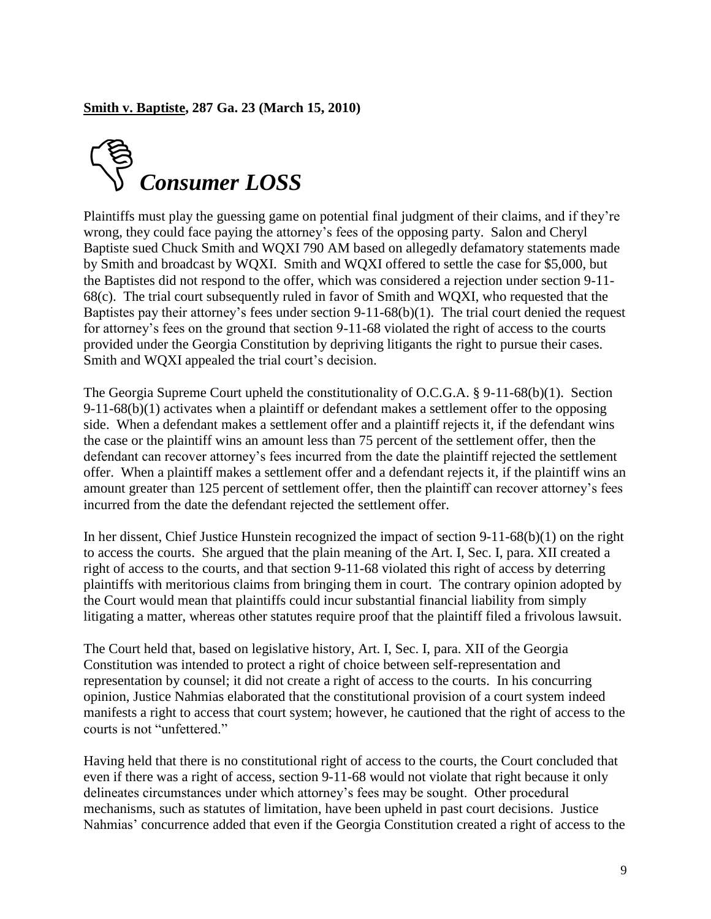

Plaintiffs must play the guessing game on potential final judgment of their claims, and if they're wrong, they could face paying the attorney's fees of the opposing party. Salon and Cheryl Baptiste sued Chuck Smith and WQXI 790 AM based on allegedly defamatory statements made by Smith and broadcast by WQXI. Smith and WQXI offered to settle the case for \$5,000, but the Baptistes did not respond to the offer, which was considered a rejection under section 9-11- 68(c). The trial court subsequently ruled in favor of Smith and WQXI, who requested that the Baptistes pay their attorney's fees under section 9-11-68(b)(1). The trial court denied the request for attorney's fees on the ground that section 9-11-68 violated the right of access to the courts provided under the Georgia Constitution by depriving litigants the right to pursue their cases. Smith and WQXI appealed the trial court's decision.

The Georgia Supreme Court upheld the constitutionality of O.C.G.A. § 9-11-68(b)(1). Section  $9-11-68(b)(1)$  activates when a plaintiff or defendant makes a settlement offer to the opposing side. When a defendant makes a settlement offer and a plaintiff rejects it, if the defendant wins the case or the plaintiff wins an amount less than 75 percent of the settlement offer, then the defendant can recover attorney's fees incurred from the date the plaintiff rejected the settlement offer. When a plaintiff makes a settlement offer and a defendant rejects it, if the plaintiff wins an amount greater than 125 percent of settlement offer, then the plaintiff can recover attorney's fees incurred from the date the defendant rejected the settlement offer.

In her dissent, Chief Justice Hunstein recognized the impact of section 9-11-68(b)(1) on the right to access the courts. She argued that the plain meaning of the Art. I, Sec. I, para. XII created a right of access to the courts, and that section 9-11-68 violated this right of access by deterring plaintiffs with meritorious claims from bringing them in court. The contrary opinion adopted by the Court would mean that plaintiffs could incur substantial financial liability from simply litigating a matter, whereas other statutes require proof that the plaintiff filed a frivolous lawsuit.

The Court held that, based on legislative history, Art. I, Sec. I, para. XII of the Georgia Constitution was intended to protect a right of choice between self-representation and representation by counsel; it did not create a right of access to the courts. In his concurring opinion, Justice Nahmias elaborated that the constitutional provision of a court system indeed manifests a right to access that court system; however, he cautioned that the right of access to the courts is not "unfettered."

Having held that there is no constitutional right of access to the courts, the Court concluded that even if there was a right of access, section 9-11-68 would not violate that right because it only delineates circumstances under which attorney's fees may be sought. Other procedural mechanisms, such as statutes of limitation, have been upheld in past court decisions. Justice Nahmias' concurrence added that even if the Georgia Constitution created a right of access to the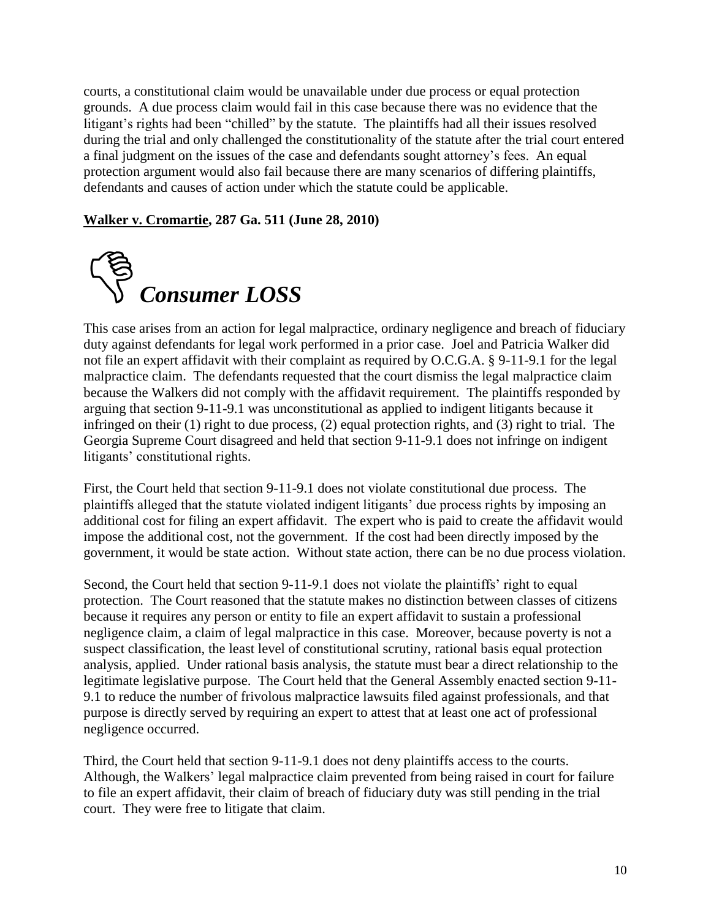courts, a constitutional claim would be unavailable under due process or equal protection grounds. A due process claim would fail in this case because there was no evidence that the litigant's rights had been "chilled" by the statute. The plaintiffs had all their issues resolved during the trial and only challenged the constitutionality of the statute after the trial court entered a final judgment on the issues of the case and defendants sought attorney's fees. An equal protection argument would also fail because there are many scenarios of differing plaintiffs, defendants and causes of action under which the statute could be applicable.

#### **Walker v. Cromartie, 287 Ga. 511 (June 28, 2010)**



This case arises from an action for legal malpractice, ordinary negligence and breach of fiduciary duty against defendants for legal work performed in a prior case. Joel and Patricia Walker did not file an expert affidavit with their complaint as required by O.C.G.A. § 9-11-9.1 for the legal malpractice claim. The defendants requested that the court dismiss the legal malpractice claim because the Walkers did not comply with the affidavit requirement. The plaintiffs responded by arguing that section 9-11-9.1 was unconstitutional as applied to indigent litigants because it infringed on their (1) right to due process, (2) equal protection rights, and (3) right to trial. The Georgia Supreme Court disagreed and held that section 9-11-9.1 does not infringe on indigent litigants' constitutional rights.

First, the Court held that section 9-11-9.1 does not violate constitutional due process. The plaintiffs alleged that the statute violated indigent litigants' due process rights by imposing an additional cost for filing an expert affidavit. The expert who is paid to create the affidavit would impose the additional cost, not the government. If the cost had been directly imposed by the government, it would be state action. Without state action, there can be no due process violation.

Second, the Court held that section 9-11-9.1 does not violate the plaintiffs' right to equal protection. The Court reasoned that the statute makes no distinction between classes of citizens because it requires any person or entity to file an expert affidavit to sustain a professional negligence claim, a claim of legal malpractice in this case. Moreover, because poverty is not a suspect classification, the least level of constitutional scrutiny, rational basis equal protection analysis, applied. Under rational basis analysis, the statute must bear a direct relationship to the legitimate legislative purpose. The Court held that the General Assembly enacted section 9-11- 9.1 to reduce the number of frivolous malpractice lawsuits filed against professionals, and that purpose is directly served by requiring an expert to attest that at least one act of professional negligence occurred.

Third, the Court held that section 9-11-9.1 does not deny plaintiffs access to the courts. Although, the Walkers' legal malpractice claim prevented from being raised in court for failure to file an expert affidavit, their claim of breach of fiduciary duty was still pending in the trial court. They were free to litigate that claim.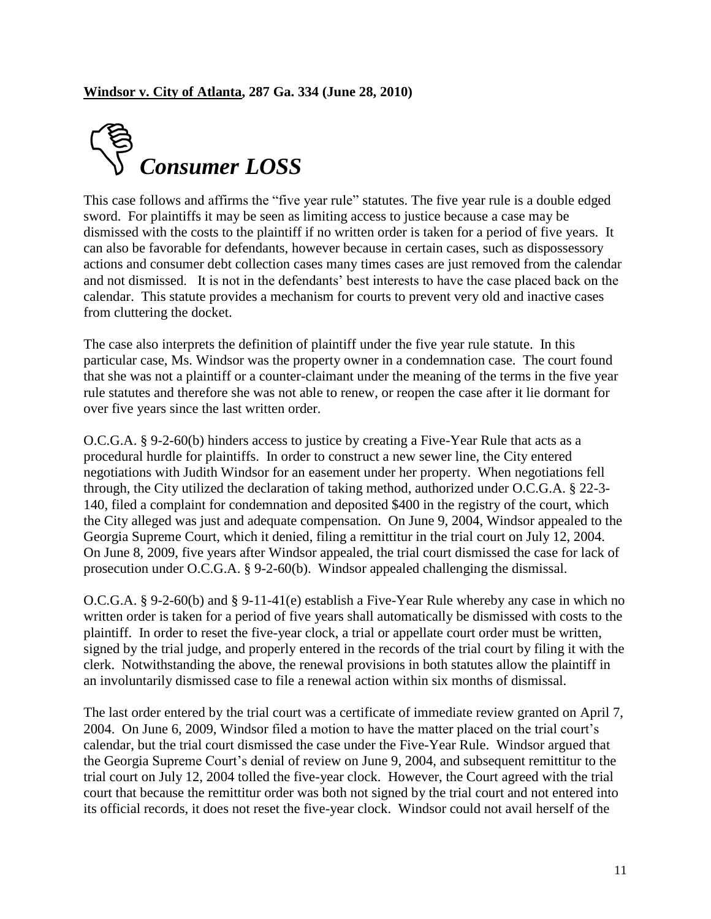

This case follows and affirms the "five year rule" statutes. The five year rule is a double edged sword. For plaintiffs it may be seen as limiting access to justice because a case may be dismissed with the costs to the plaintiff if no written order is taken for a period of five years. It can also be favorable for defendants, however because in certain cases, such as dispossessory actions and consumer debt collection cases many times cases are just removed from the calendar and not dismissed. It is not in the defendants' best interests to have the case placed back on the calendar. This statute provides a mechanism for courts to prevent very old and inactive cases from cluttering the docket.

The case also interprets the definition of plaintiff under the five year rule statute. In this particular case, Ms. Windsor was the property owner in a condemnation case. The court found that she was not a plaintiff or a counter-claimant under the meaning of the terms in the five year rule statutes and therefore she was not able to renew, or reopen the case after it lie dormant for over five years since the last written order.

O.C.G.A. § 9-2-60(b) hinders access to justice by creating a Five-Year Rule that acts as a procedural hurdle for plaintiffs. In order to construct a new sewer line, the City entered negotiations with Judith Windsor for an easement under her property. When negotiations fell through, the City utilized the declaration of taking method, authorized under O.C.G.A. § 22-3- 140, filed a complaint for condemnation and deposited \$400 in the registry of the court, which the City alleged was just and adequate compensation. On June 9, 2004, Windsor appealed to the Georgia Supreme Court, which it denied, filing a remittitur in the trial court on July 12, 2004. On June 8, 2009, five years after Windsor appealed, the trial court dismissed the case for lack of prosecution under O.C.G.A. § 9-2-60(b). Windsor appealed challenging the dismissal.

O.C.G.A. § 9-2-60(b) and § 9-11-41(e) establish a Five-Year Rule whereby any case in which no written order is taken for a period of five years shall automatically be dismissed with costs to the plaintiff. In order to reset the five-year clock, a trial or appellate court order must be written, signed by the trial judge, and properly entered in the records of the trial court by filing it with the clerk. Notwithstanding the above, the renewal provisions in both statutes allow the plaintiff in an involuntarily dismissed case to file a renewal action within six months of dismissal.

The last order entered by the trial court was a certificate of immediate review granted on April 7, 2004. On June 6, 2009, Windsor filed a motion to have the matter placed on the trial court's calendar, but the trial court dismissed the case under the Five-Year Rule. Windsor argued that the Georgia Supreme Court's denial of review on June 9, 2004, and subsequent remittitur to the trial court on July 12, 2004 tolled the five-year clock. However, the Court agreed with the trial court that because the remittitur order was both not signed by the trial court and not entered into its official records, it does not reset the five-year clock. Windsor could not avail herself of the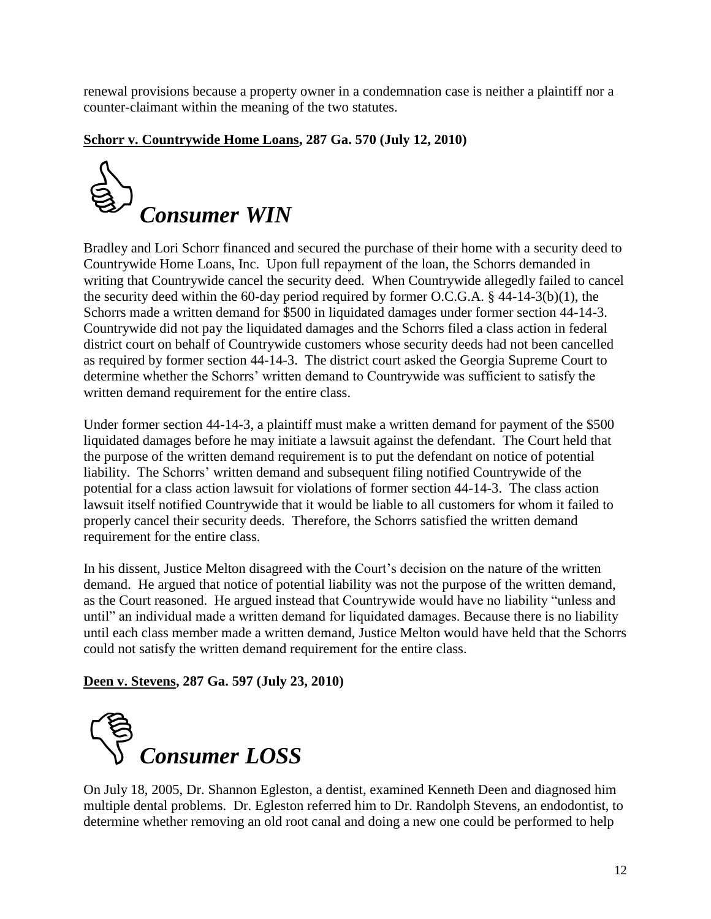renewal provisions because a property owner in a condemnation case is neither a plaintiff nor a counter-claimant within the meaning of the two statutes.

#### **Schorr v. Countrywide Home Loans, 287 Ga. 570 (July 12, 2010)**



Bradley and Lori Schorr financed and secured the purchase of their home with a security deed to Countrywide Home Loans, Inc. Upon full repayment of the loan, the Schorrs demanded in writing that Countrywide cancel the security deed. When Countrywide allegedly failed to cancel the security deed within the 60-day period required by former O.C.G.A. § 44-14-3(b)(1), the Schorrs made a written demand for \$500 in liquidated damages under former section 44-14-3. Countrywide did not pay the liquidated damages and the Schorrs filed a class action in federal district court on behalf of Countrywide customers whose security deeds had not been cancelled as required by former section 44-14-3. The district court asked the Georgia Supreme Court to determine whether the Schorrs' written demand to Countrywide was sufficient to satisfy the written demand requirement for the entire class.

Under former section 44-14-3, a plaintiff must make a written demand for payment of the \$500 liquidated damages before he may initiate a lawsuit against the defendant. The Court held that the purpose of the written demand requirement is to put the defendant on notice of potential liability. The Schorrs' written demand and subsequent filing notified Countrywide of the potential for a class action lawsuit for violations of former section 44-14-3. The class action lawsuit itself notified Countrywide that it would be liable to all customers for whom it failed to properly cancel their security deeds. Therefore, the Schorrs satisfied the written demand requirement for the entire class.

In his dissent, Justice Melton disagreed with the Court's decision on the nature of the written demand. He argued that notice of potential liability was not the purpose of the written demand, as the Court reasoned. He argued instead that Countrywide would have no liability "unless and until" an individual made a written demand for liquidated damages. Because there is no liability until each class member made a written demand, Justice Melton would have held that the Schorrs could not satisfy the written demand requirement for the entire class.

#### **Deen v. Stevens, 287 Ga. 597 (July 23, 2010)**



On July 18, 2005, Dr. Shannon Egleston, a dentist, examined Kenneth Deen and diagnosed him multiple dental problems. Dr. Egleston referred him to Dr. Randolph Stevens, an endodontist, to determine whether removing an old root canal and doing a new one could be performed to help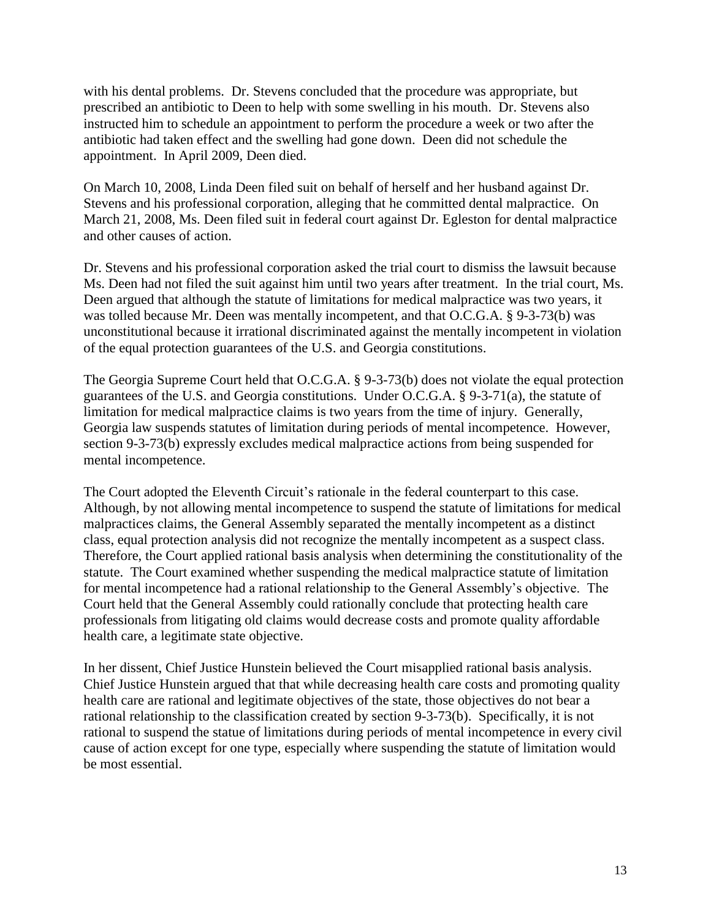with his dental problems. Dr. Stevens concluded that the procedure was appropriate, but prescribed an antibiotic to Deen to help with some swelling in his mouth. Dr. Stevens also instructed him to schedule an appointment to perform the procedure a week or two after the antibiotic had taken effect and the swelling had gone down. Deen did not schedule the appointment. In April 2009, Deen died.

On March 10, 2008, Linda Deen filed suit on behalf of herself and her husband against Dr. Stevens and his professional corporation, alleging that he committed dental malpractice. On March 21, 2008, Ms. Deen filed suit in federal court against Dr. Egleston for dental malpractice and other causes of action.

Dr. Stevens and his professional corporation asked the trial court to dismiss the lawsuit because Ms. Deen had not filed the suit against him until two years after treatment. In the trial court, Ms. Deen argued that although the statute of limitations for medical malpractice was two years, it was tolled because Mr. Deen was mentally incompetent, and that O.C.G.A. § 9-3-73(b) was unconstitutional because it irrational discriminated against the mentally incompetent in violation of the equal protection guarantees of the U.S. and Georgia constitutions.

The Georgia Supreme Court held that O.C.G.A. § 9-3-73(b) does not violate the equal protection guarantees of the U.S. and Georgia constitutions. Under O.C.G.A. § 9-3-71(a), the statute of limitation for medical malpractice claims is two years from the time of injury. Generally, Georgia law suspends statutes of limitation during periods of mental incompetence. However, section 9-3-73(b) expressly excludes medical malpractice actions from being suspended for mental incompetence.

The Court adopted the Eleventh Circuit's rationale in the federal counterpart to this case. Although, by not allowing mental incompetence to suspend the statute of limitations for medical malpractices claims, the General Assembly separated the mentally incompetent as a distinct class, equal protection analysis did not recognize the mentally incompetent as a suspect class. Therefore, the Court applied rational basis analysis when determining the constitutionality of the statute. The Court examined whether suspending the medical malpractice statute of limitation for mental incompetence had a rational relationship to the General Assembly's objective. The Court held that the General Assembly could rationally conclude that protecting health care professionals from litigating old claims would decrease costs and promote quality affordable health care, a legitimate state objective.

In her dissent, Chief Justice Hunstein believed the Court misapplied rational basis analysis. Chief Justice Hunstein argued that that while decreasing health care costs and promoting quality health care are rational and legitimate objectives of the state, those objectives do not bear a rational relationship to the classification created by section 9-3-73(b). Specifically, it is not rational to suspend the statue of limitations during periods of mental incompetence in every civil cause of action except for one type, especially where suspending the statute of limitation would be most essential.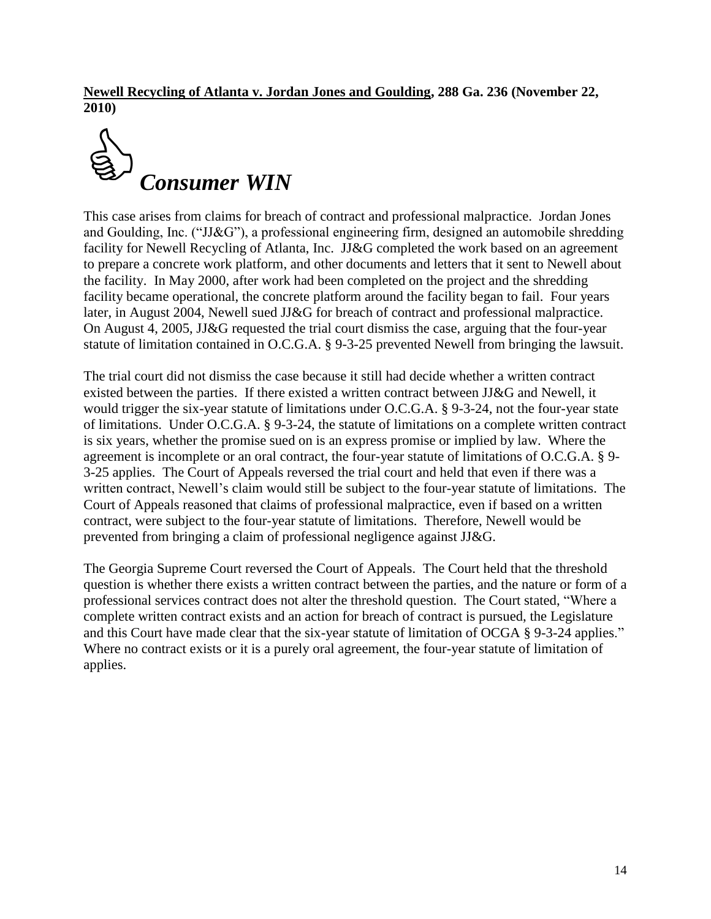**Newell Recycling of Atlanta v. Jordan Jones and Goulding, 288 Ga. 236 (November 22, 2010)**



This case arises from claims for breach of contract and professional malpractice. Jordan Jones and Goulding, Inc. ("JJ&G"), a professional engineering firm, designed an automobile shredding facility for Newell Recycling of Atlanta, Inc. JJ&G completed the work based on an agreement to prepare a concrete work platform, and other documents and letters that it sent to Newell about the facility. In May 2000, after work had been completed on the project and the shredding facility became operational, the concrete platform around the facility began to fail. Four years later, in August 2004, Newell sued JJ&G for breach of contract and professional malpractice. On August 4, 2005, JJ&G requested the trial court dismiss the case, arguing that the four-year statute of limitation contained in O.C.G.A. § 9-3-25 prevented Newell from bringing the lawsuit.

The trial court did not dismiss the case because it still had decide whether a written contract existed between the parties. If there existed a written contract between JJ&G and Newell, it would trigger the six-year statute of limitations under O.C.G.A. § 9-3-24, not the four-year state of limitations. Under O.C.G.A. § 9-3-24, the statute of limitations on a complete written contract is six years, whether the promise sued on is an express promise or implied by law. Where the agreement is incomplete or an oral contract, the four-year statute of limitations of O.C.G.A. § 9- 3-25 applies. The Court of Appeals reversed the trial court and held that even if there was a written contract, Newell's claim would still be subject to the four-year statute of limitations. The Court of Appeals reasoned that claims of professional malpractice, even if based on a written contract, were subject to the four-year statute of limitations. Therefore, Newell would be prevented from bringing a claim of professional negligence against JJ&G.

The Georgia Supreme Court reversed the Court of Appeals. The Court held that the threshold question is whether there exists a written contract between the parties, and the nature or form of a professional services contract does not alter the threshold question. The Court stated, "Where a complete written contract exists and an action for breach of contract is pursued, the Legislature and this Court have made clear that the six-year statute of limitation of OCGA § 9-3-24 applies." Where no contract exists or it is a purely oral agreement, the four-year statute of limitation of applies.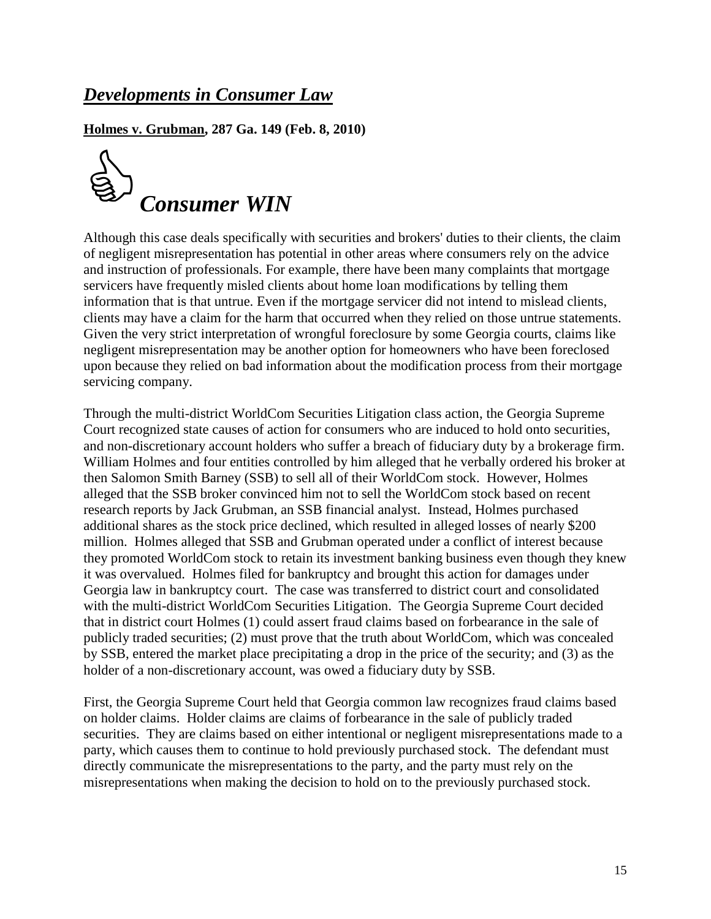### *Developments in Consumer Law*

**Holmes v. Grubman, 287 Ga. 149 (Feb. 8, 2010)**



Although this case deals specifically with securities and brokers' duties to their clients, the claim of negligent misrepresentation has potential in other areas where consumers rely on the advice and instruction of professionals. For example, there have been many complaints that mortgage servicers have frequently misled clients about home loan modifications by telling them information that is that untrue. Even if the mortgage servicer did not intend to mislead clients, clients may have a claim for the harm that occurred when they relied on those untrue statements. Given the very strict interpretation of wrongful foreclosure by some Georgia courts, claims like negligent misrepresentation may be another option for homeowners who have been foreclosed upon because they relied on bad information about the modification process from their mortgage servicing company.

Through the multi-district WorldCom Securities Litigation class action, the Georgia Supreme Court recognized state causes of action for consumers who are induced to hold onto securities, and non-discretionary account holders who suffer a breach of fiduciary duty by a brokerage firm. William Holmes and four entities controlled by him alleged that he verbally ordered his broker at then Salomon Smith Barney (SSB) to sell all of their WorldCom stock. However, Holmes alleged that the SSB broker convinced him not to sell the WorldCom stock based on recent research reports by Jack Grubman, an SSB financial analyst. Instead, Holmes purchased additional shares as the stock price declined, which resulted in alleged losses of nearly \$200 million. Holmes alleged that SSB and Grubman operated under a conflict of interest because they promoted WorldCom stock to retain its investment banking business even though they knew it was overvalued. Holmes filed for bankruptcy and brought this action for damages under Georgia law in bankruptcy court. The case was transferred to district court and consolidated with the multi-district WorldCom Securities Litigation. The Georgia Supreme Court decided that in district court Holmes (1) could assert fraud claims based on forbearance in the sale of publicly traded securities; (2) must prove that the truth about WorldCom, which was concealed by SSB, entered the market place precipitating a drop in the price of the security; and (3) as the holder of a non-discretionary account, was owed a fiduciary duty by SSB.

First, the Georgia Supreme Court held that Georgia common law recognizes fraud claims based on holder claims. Holder claims are claims of forbearance in the sale of publicly traded securities. They are claims based on either intentional or negligent misrepresentations made to a party, which causes them to continue to hold previously purchased stock. The defendant must directly communicate the misrepresentations to the party, and the party must rely on the misrepresentations when making the decision to hold on to the previously purchased stock.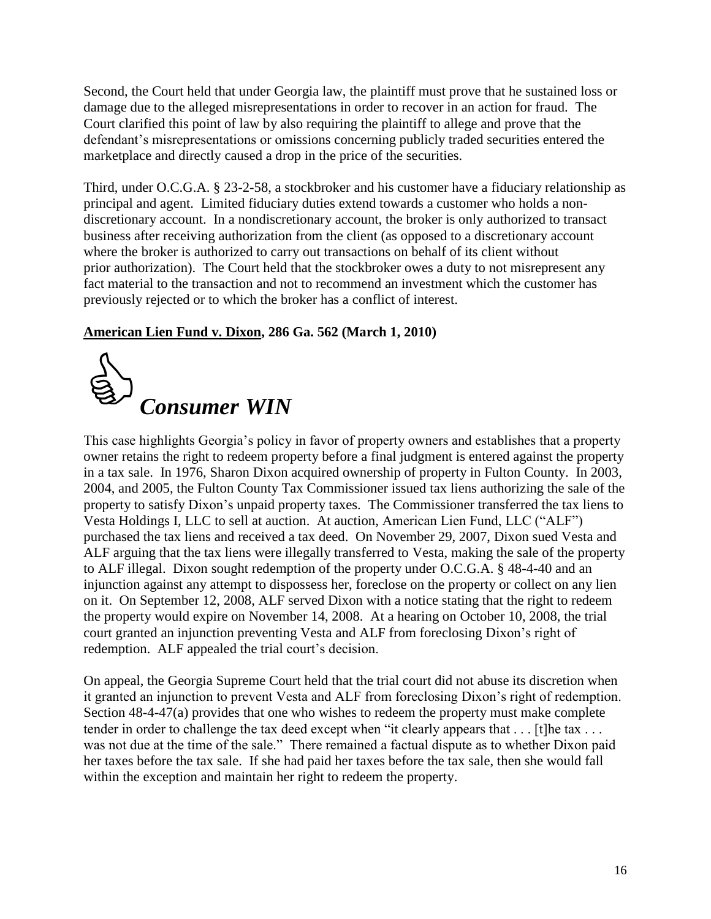Second, the Court held that under Georgia law, the plaintiff must prove that he sustained loss or damage due to the alleged misrepresentations in order to recover in an action for fraud. The Court clarified this point of law by also requiring the plaintiff to allege and prove that the defendant's misrepresentations or omissions concerning publicly traded securities entered the marketplace and directly caused a drop in the price of the securities.

Third, under O.C.G.A. § 23-2-58, a stockbroker and his customer have a fiduciary relationship as principal and agent. Limited fiduciary duties extend towards a customer who holds a nondiscretionary account. In a nondiscretionary account, the broker is only authorized to transact business after receiving authorization from the client (as opposed to a discretionary account where the broker is authorized to carry out transactions on behalf of its client without prior authorization). The Court held that the stockbroker owes a duty to not misrepresent any fact material to the transaction and not to recommend an investment which the customer has previously rejected or to which the broker has a conflict of interest.

#### **American Lien Fund v. Dixon, 286 Ga. 562 (March 1, 2010)**



This case highlights Georgia's policy in favor of property owners and establishes that a property owner retains the right to redeem property before a final judgment is entered against the property in a tax sale. In 1976, Sharon Dixon acquired ownership of property in Fulton County. In 2003, 2004, and 2005, the Fulton County Tax Commissioner issued tax liens authorizing the sale of the property to satisfy Dixon's unpaid property taxes. The Commissioner transferred the tax liens to Vesta Holdings I, LLC to sell at auction. At auction, American Lien Fund, LLC ("ALF") purchased the tax liens and received a tax deed. On November 29, 2007, Dixon sued Vesta and ALF arguing that the tax liens were illegally transferred to Vesta, making the sale of the property to ALF illegal. Dixon sought redemption of the property under O.C.G.A. § 48-4-40 and an injunction against any attempt to dispossess her, foreclose on the property or collect on any lien on it. On September 12, 2008, ALF served Dixon with a notice stating that the right to redeem the property would expire on November 14, 2008. At a hearing on October 10, 2008, the trial court granted an injunction preventing Vesta and ALF from foreclosing Dixon's right of redemption. ALF appealed the trial court's decision.

On appeal, the Georgia Supreme Court held that the trial court did not abuse its discretion when it granted an injunction to prevent Vesta and ALF from foreclosing Dixon's right of redemption. Section 48-4-47(a) provides that one who wishes to redeem the property must make complete tender in order to challenge the tax deed except when "it clearly appears that  $\dots$  [t]he tax  $\dots$ was not due at the time of the sale." There remained a factual dispute as to whether Dixon paid her taxes before the tax sale. If she had paid her taxes before the tax sale, then she would fall within the exception and maintain her right to redeem the property.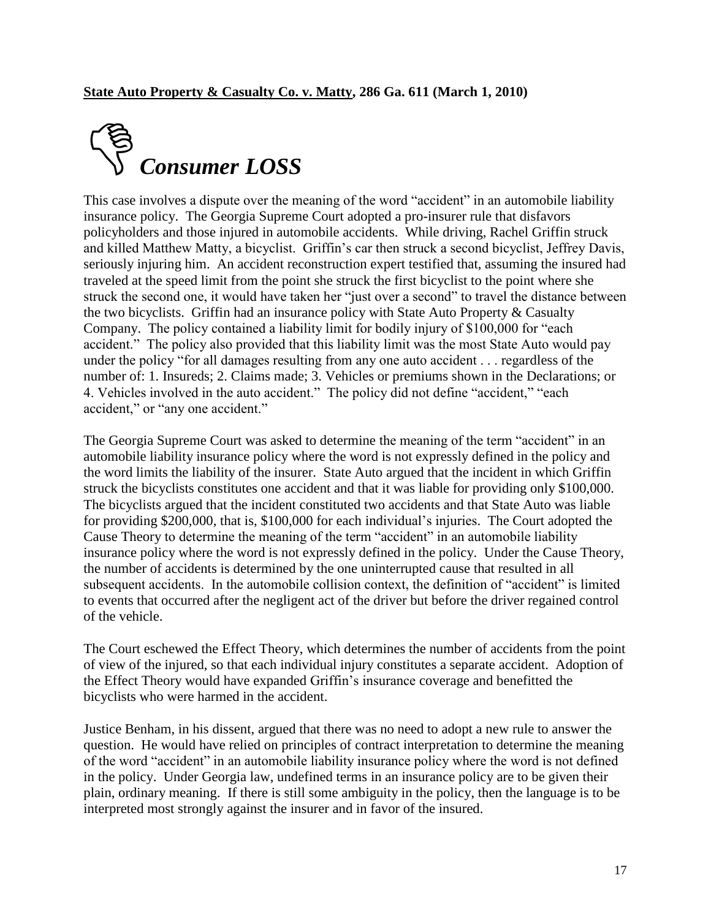

This case involves a dispute over the meaning of the word "accident" in an automobile liability insurance policy. The Georgia Supreme Court adopted a pro-insurer rule that disfavors policyholders and those injured in automobile accidents. While driving, Rachel Griffin struck and killed Matthew Matty, a bicyclist. Griffin's car then struck a second bicyclist, Jeffrey Davis, seriously injuring him. An accident reconstruction expert testified that, assuming the insured had traveled at the speed limit from the point she struck the first bicyclist to the point where she struck the second one, it would have taken her "just over a second" to travel the distance between the two bicyclists. Griffin had an insurance policy with State Auto Property & Casualty Company. The policy contained a liability limit for bodily injury of \$100,000 for "each" accident." The policy also provided that this liability limit was the most State Auto would pay under the policy "for all damages resulting from any one auto accident . . . regardless of the number of: 1. Insureds; 2. Claims made; 3. Vehicles or premiums shown in the Declarations; or 4. Vehicles involved in the auto accident." The policy did not define "accident," "each accident," or "any one accident."

The Georgia Supreme Court was asked to determine the meaning of the term "accident" in an automobile liability insurance policy where the word is not expressly defined in the policy and the word limits the liability of the insurer. State Auto argued that the incident in which Griffin struck the bicyclists constitutes one accident and that it was liable for providing only \$100,000. The bicyclists argued that the incident constituted two accidents and that State Auto was liable for providing \$200,000, that is, \$100,000 for each individual's injuries. The Court adopted the Cause Theory to determine the meaning of the term "accident" in an automobile liability insurance policy where the word is not expressly defined in the policy. Under the Cause Theory, the number of accidents is determined by the one uninterrupted cause that resulted in all subsequent accidents. In the automobile collision context, the definition of "accident" is limited to events that occurred after the negligent act of the driver but before the driver regained control of the vehicle.

The Court eschewed the Effect Theory, which determines the number of accidents from the point of view of the injured, so that each individual injury constitutes a separate accident. Adoption of the Effect Theory would have expanded Griffin's insurance coverage and benefitted the bicyclists who were harmed in the accident.

Justice Benham, in his dissent, argued that there was no need to adopt a new rule to answer the question. He would have relied on principles of contract interpretation to determine the meaning of the word "accident" in an automobile liability insurance policy where the word is not defined in the policy. Under Georgia law, undefined terms in an insurance policy are to be given their plain, ordinary meaning. If there is still some ambiguity in the policy, then the language is to be interpreted most strongly against the insurer and in favor of the insured.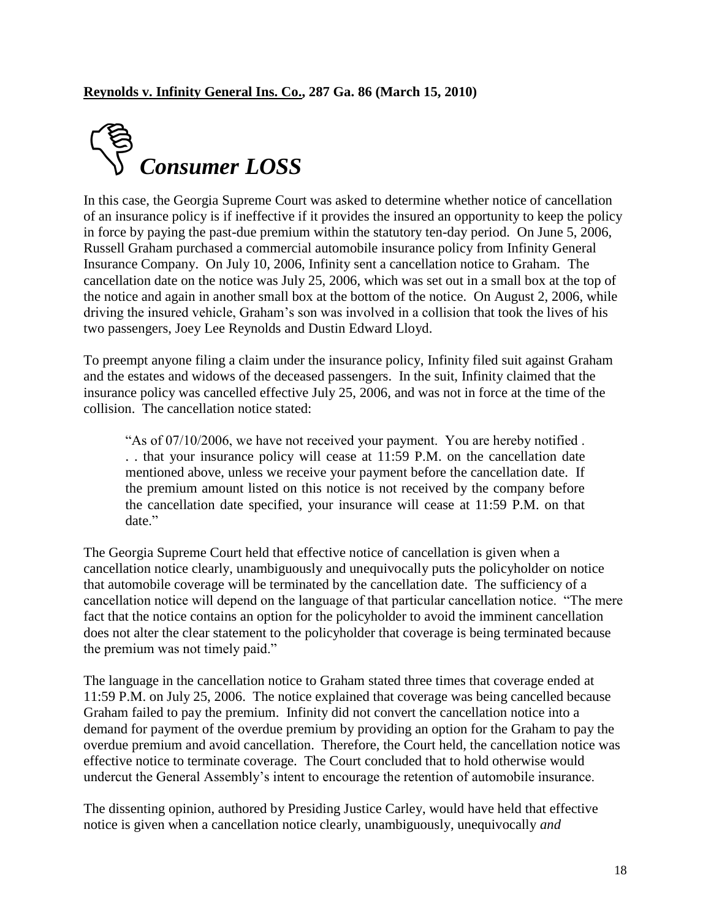

In this case, the Georgia Supreme Court was asked to determine whether notice of cancellation of an insurance policy is if ineffective if it provides the insured an opportunity to keep the policy in force by paying the past-due premium within the statutory ten-day period. On June 5, 2006, Russell Graham purchased a commercial automobile insurance policy from Infinity General Insurance Company. On July 10, 2006, Infinity sent a cancellation notice to Graham. The cancellation date on the notice was July 25, 2006, which was set out in a small box at the top of the notice and again in another small box at the bottom of the notice. On August 2, 2006, while driving the insured vehicle, Graham's son was involved in a collision that took the lives of his two passengers, Joey Lee Reynolds and Dustin Edward Lloyd.

To preempt anyone filing a claim under the insurance policy, Infinity filed suit against Graham and the estates and widows of the deceased passengers. In the suit, Infinity claimed that the insurance policy was cancelled effective July 25, 2006, and was not in force at the time of the collision. The cancellation notice stated:

"As of 07/10/2006, we have not received your payment. You are hereby notified. . . that your insurance policy will cease at 11:59 P.M. on the cancellation date mentioned above, unless we receive your payment before the cancellation date. If the premium amount listed on this notice is not received by the company before the cancellation date specified, your insurance will cease at 11:59 P.M. on that date."

The Georgia Supreme Court held that effective notice of cancellation is given when a cancellation notice clearly, unambiguously and unequivocally puts the policyholder on notice that automobile coverage will be terminated by the cancellation date. The sufficiency of a cancellation notice will depend on the language of that particular cancellation notice. "The mere fact that the notice contains an option for the policyholder to avoid the imminent cancellation does not alter the clear statement to the policyholder that coverage is being terminated because the premium was not timely paid."

The language in the cancellation notice to Graham stated three times that coverage ended at 11:59 P.M. on July 25, 2006. The notice explained that coverage was being cancelled because Graham failed to pay the premium. Infinity did not convert the cancellation notice into a demand for payment of the overdue premium by providing an option for the Graham to pay the overdue premium and avoid cancellation. Therefore, the Court held, the cancellation notice was effective notice to terminate coverage. The Court concluded that to hold otherwise would undercut the General Assembly's intent to encourage the retention of automobile insurance.

The dissenting opinion, authored by Presiding Justice Carley, would have held that effective notice is given when a cancellation notice clearly, unambiguously, unequivocally *and*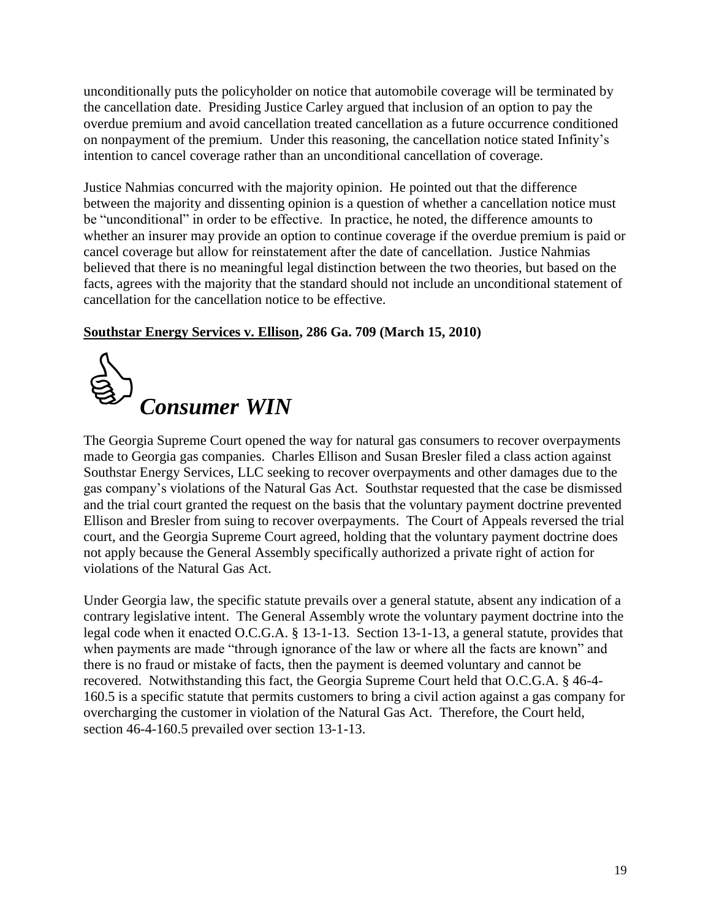unconditionally puts the policyholder on notice that automobile coverage will be terminated by the cancellation date. Presiding Justice Carley argued that inclusion of an option to pay the overdue premium and avoid cancellation treated cancellation as a future occurrence conditioned on nonpayment of the premium. Under this reasoning, the cancellation notice stated Infinity's intention to cancel coverage rather than an unconditional cancellation of coverage.

Justice Nahmias concurred with the majority opinion. He pointed out that the difference between the majority and dissenting opinion is a question of whether a cancellation notice must be "unconditional" in order to be effective. In practice, he noted, the difference amounts to whether an insurer may provide an option to continue coverage if the overdue premium is paid or cancel coverage but allow for reinstatement after the date of cancellation. Justice Nahmias believed that there is no meaningful legal distinction between the two theories, but based on the facts, agrees with the majority that the standard should not include an unconditional statement of cancellation for the cancellation notice to be effective.

#### **Southstar Energy Services v. Ellison, 286 Ga. 709 (March 15, 2010)**



The Georgia Supreme Court opened the way for natural gas consumers to recover overpayments made to Georgia gas companies. Charles Ellison and Susan Bresler filed a class action against Southstar Energy Services, LLC seeking to recover overpayments and other damages due to the gas company's violations of the Natural Gas Act. Southstar requested that the case be dismissed and the trial court granted the request on the basis that the voluntary payment doctrine prevented Ellison and Bresler from suing to recover overpayments. The Court of Appeals reversed the trial court, and the Georgia Supreme Court agreed, holding that the voluntary payment doctrine does not apply because the General Assembly specifically authorized a private right of action for violations of the Natural Gas Act.

Under Georgia law, the specific statute prevails over a general statute, absent any indication of a contrary legislative intent. The General Assembly wrote the voluntary payment doctrine into the legal code when it enacted O.C.G.A. § 13-1-13. Section 13-1-13, a general statute, provides that when payments are made "through ignorance of the law or where all the facts are known" and there is no fraud or mistake of facts, then the payment is deemed voluntary and cannot be recovered. Notwithstanding this fact, the Georgia Supreme Court held that O.C.G.A. § 46-4- 160.5 is a specific statute that permits customers to bring a civil action against a gas company for overcharging the customer in violation of the Natural Gas Act. Therefore, the Court held, section 46-4-160.5 prevailed over section 13-1-13.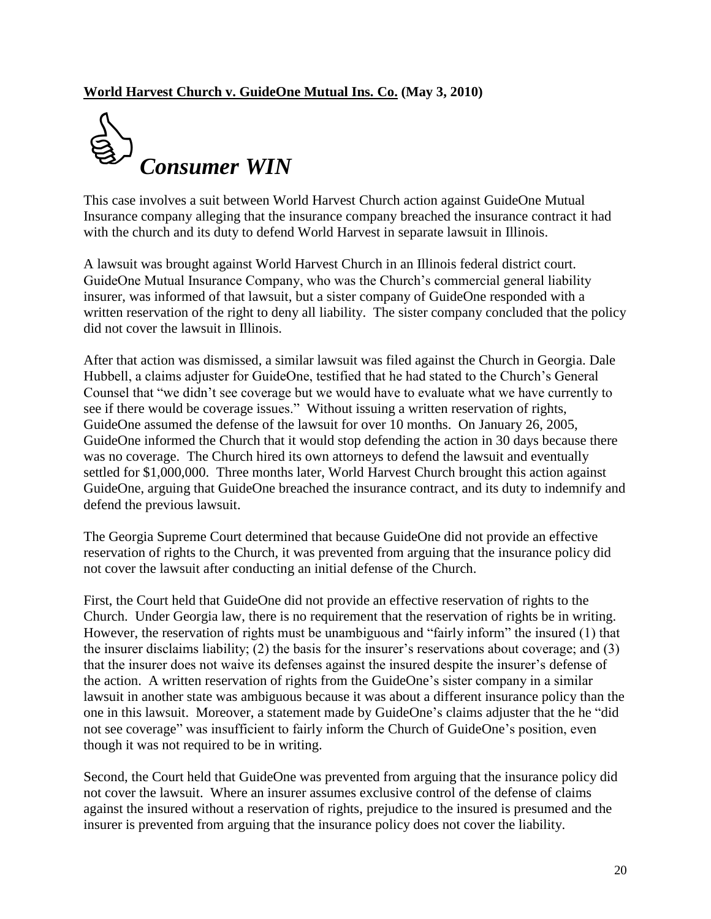#### **World Harvest Church v. GuideOne Mutual Ins. Co. (May 3, 2010)**



This case involves a suit between World Harvest Church action against GuideOne Mutual Insurance company alleging that the insurance company breached the insurance contract it had with the church and its duty to defend World Harvest in separate lawsuit in Illinois.

A lawsuit was brought against World Harvest Church in an Illinois federal district court. GuideOne Mutual Insurance Company, who was the Church's commercial general liability insurer, was informed of that lawsuit, but a sister company of GuideOne responded with a written reservation of the right to deny all liability. The sister company concluded that the policy did not cover the lawsuit in Illinois.

After that action was dismissed, a similar lawsuit was filed against the Church in Georgia. Dale Hubbell, a claims adjuster for GuideOne, testified that he had stated to the Church's General Counsel that "we didn't see coverage but we would have to evaluate what we have currently to see if there would be coverage issues." Without issuing a written reservation of rights, GuideOne assumed the defense of the lawsuit for over 10 months. On January 26, 2005, GuideOne informed the Church that it would stop defending the action in 30 days because there was no coverage. The Church hired its own attorneys to defend the lawsuit and eventually settled for \$1,000,000. Three months later, World Harvest Church brought this action against GuideOne, arguing that GuideOne breached the insurance contract, and its duty to indemnify and defend the previous lawsuit.

The Georgia Supreme Court determined that because GuideOne did not provide an effective reservation of rights to the Church, it was prevented from arguing that the insurance policy did not cover the lawsuit after conducting an initial defense of the Church.

First, the Court held that GuideOne did not provide an effective reservation of rights to the Church. Under Georgia law, there is no requirement that the reservation of rights be in writing. However, the reservation of rights must be unambiguous and "fairly inform" the insured (1) that the insurer disclaims liability; (2) the basis for the insurer's reservations about coverage; and (3) that the insurer does not waive its defenses against the insured despite the insurer's defense of the action. A written reservation of rights from the GuideOne's sister company in a similar lawsuit in another state was ambiguous because it was about a different insurance policy than the one in this lawsuit. Moreover, a statement made by GuideOne's claims adjuster that the he "did" not see coverage" was insufficient to fairly inform the Church of GuideOne's position, even though it was not required to be in writing.

Second, the Court held that GuideOne was prevented from arguing that the insurance policy did not cover the lawsuit. Where an insurer assumes exclusive control of the defense of claims against the insured without a reservation of rights, prejudice to the insured is presumed and the insurer is prevented from arguing that the insurance policy does not cover the liability.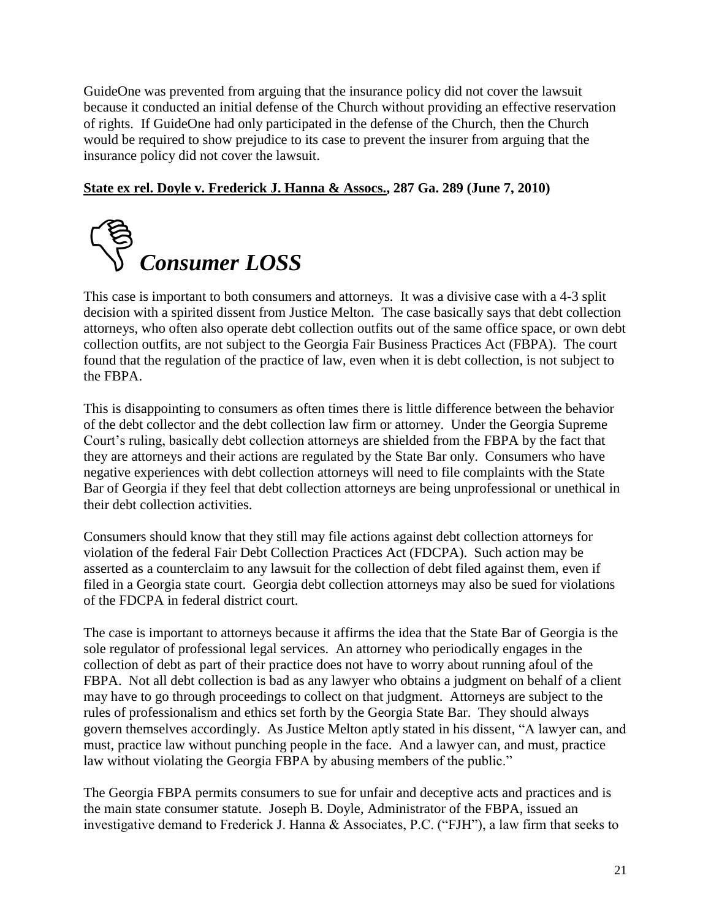GuideOne was prevented from arguing that the insurance policy did not cover the lawsuit because it conducted an initial defense of the Church without providing an effective reservation of rights. If GuideOne had only participated in the defense of the Church, then the Church would be required to show prejudice to its case to prevent the insurer from arguing that the insurance policy did not cover the lawsuit.

#### **State ex rel. Doyle v. Frederick J. Hanna & Assocs., 287 Ga. 289 (June 7, 2010)**



This case is important to both consumers and attorneys. It was a divisive case with a 4-3 split decision with a spirited dissent from Justice Melton. The case basically says that debt collection attorneys, who often also operate debt collection outfits out of the same office space, or own debt collection outfits, are not subject to the Georgia Fair Business Practices Act (FBPA). The court found that the regulation of the practice of law, even when it is debt collection, is not subject to the FBPA.

This is disappointing to consumers as often times there is little difference between the behavior of the debt collector and the debt collection law firm or attorney. Under the Georgia Supreme Court's ruling, basically debt collection attorneys are shielded from the FBPA by the fact that they are attorneys and their actions are regulated by the State Bar only. Consumers who have negative experiences with debt collection attorneys will need to file complaints with the State Bar of Georgia if they feel that debt collection attorneys are being unprofessional or unethical in their debt collection activities.

Consumers should know that they still may file actions against debt collection attorneys for violation of the federal Fair Debt Collection Practices Act (FDCPA). Such action may be asserted as a counterclaim to any lawsuit for the collection of debt filed against them, even if filed in a Georgia state court. Georgia debt collection attorneys may also be sued for violations of the FDCPA in federal district court.

The case is important to attorneys because it affirms the idea that the State Bar of Georgia is the sole regulator of professional legal services. An attorney who periodically engages in the collection of debt as part of their practice does not have to worry about running afoul of the FBPA. Not all debt collection is bad as any lawyer who obtains a judgment on behalf of a client may have to go through proceedings to collect on that judgment. Attorneys are subject to the rules of professionalism and ethics set forth by the Georgia State Bar. They should always govern themselves accordingly. As Justice Melton aptly stated in his dissent, "A lawyer can, and must, practice law without punching people in the face. And a lawyer can, and must, practice law without violating the Georgia FBPA by abusing members of the public."

The Georgia FBPA permits consumers to sue for unfair and deceptive acts and practices and is the main state consumer statute. Joseph B. Doyle, Administrator of the FBPA, issued an investigative demand to Frederick J. Hanna  $\&$  Associates, P.C. ("FJH"), a law firm that seeks to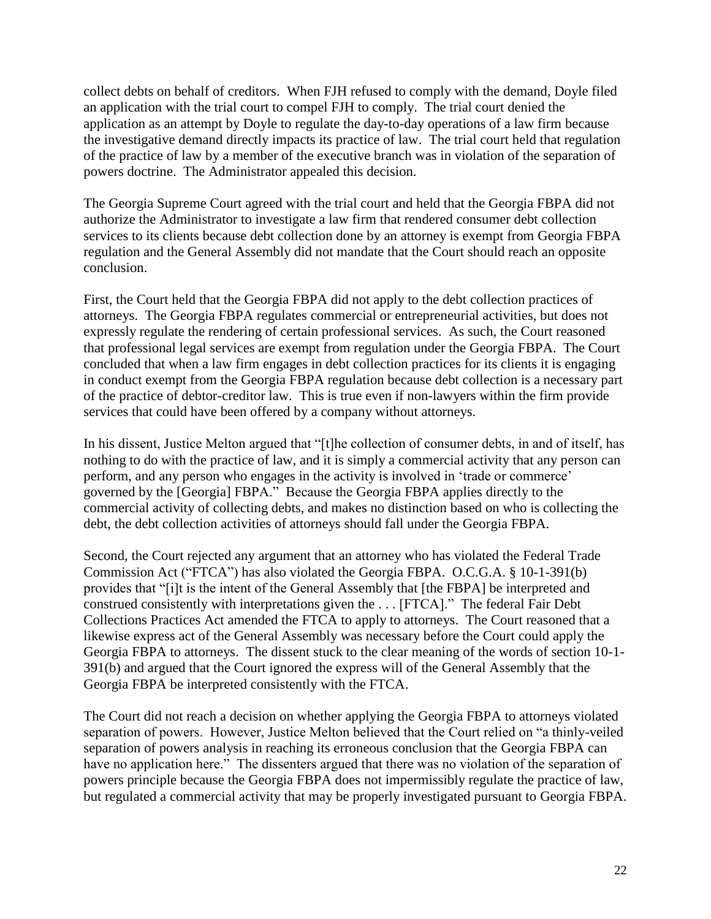collect debts on behalf of creditors. When FJH refused to comply with the demand, Doyle filed an application with the trial court to compel FJH to comply. The trial court denied the application as an attempt by Doyle to regulate the day-to-day operations of a law firm because the investigative demand directly impacts its practice of law. The trial court held that regulation of the practice of law by a member of the executive branch was in violation of the separation of powers doctrine. The Administrator appealed this decision.

The Georgia Supreme Court agreed with the trial court and held that the Georgia FBPA did not authorize the Administrator to investigate a law firm that rendered consumer debt collection services to its clients because debt collection done by an attorney is exempt from Georgia FBPA regulation and the General Assembly did not mandate that the Court should reach an opposite conclusion.

First, the Court held that the Georgia FBPA did not apply to the debt collection practices of attorneys. The Georgia FBPA regulates commercial or entrepreneurial activities, but does not expressly regulate the rendering of certain professional services. As such, the Court reasoned that professional legal services are exempt from regulation under the Georgia FBPA. The Court concluded that when a law firm engages in debt collection practices for its clients it is engaging in conduct exempt from the Georgia FBPA regulation because debt collection is a necessary part of the practice of debtor-creditor law. This is true even if non-lawyers within the firm provide services that could have been offered by a company without attorneys.

In his dissent, Justice Melton argued that "[t]he collection of consumer debts, in and of itself, has nothing to do with the practice of law, and it is simply a commercial activity that any person can perform, and any person who engages in the activity is involved in 'trade or commerce' governed by the [Georgia] FBPA." Because the Georgia FBPA applies directly to the commercial activity of collecting debts, and makes no distinction based on who is collecting the debt, the debt collection activities of attorneys should fall under the Georgia FBPA.

Second, the Court rejected any argument that an attorney who has violated the Federal Trade Commission Act ("FTCA") has also violated the Georgia FBPA. O.C.G.A. § 10-1-391(b) provides that "[i]t is the intent of the General Assembly that [the FBPA] be interpreted and construed consistently with interpretations given the . . . [FTCA]." The federal Fair Debt Collections Practices Act amended the FTCA to apply to attorneys. The Court reasoned that a likewise express act of the General Assembly was necessary before the Court could apply the Georgia FBPA to attorneys. The dissent stuck to the clear meaning of the words of section 10-1- 391(b) and argued that the Court ignored the express will of the General Assembly that the Georgia FBPA be interpreted consistently with the FTCA.

The Court did not reach a decision on whether applying the Georgia FBPA to attorneys violated separation of powers. However, Justice Melton believed that the Court relied on "a thinly-veiled separation of powers analysis in reaching its erroneous conclusion that the Georgia FBPA can have no application here." The dissenters argued that there was no violation of the separation of powers principle because the Georgia FBPA does not impermissibly regulate the practice of law, but regulated a commercial activity that may be properly investigated pursuant to Georgia FBPA.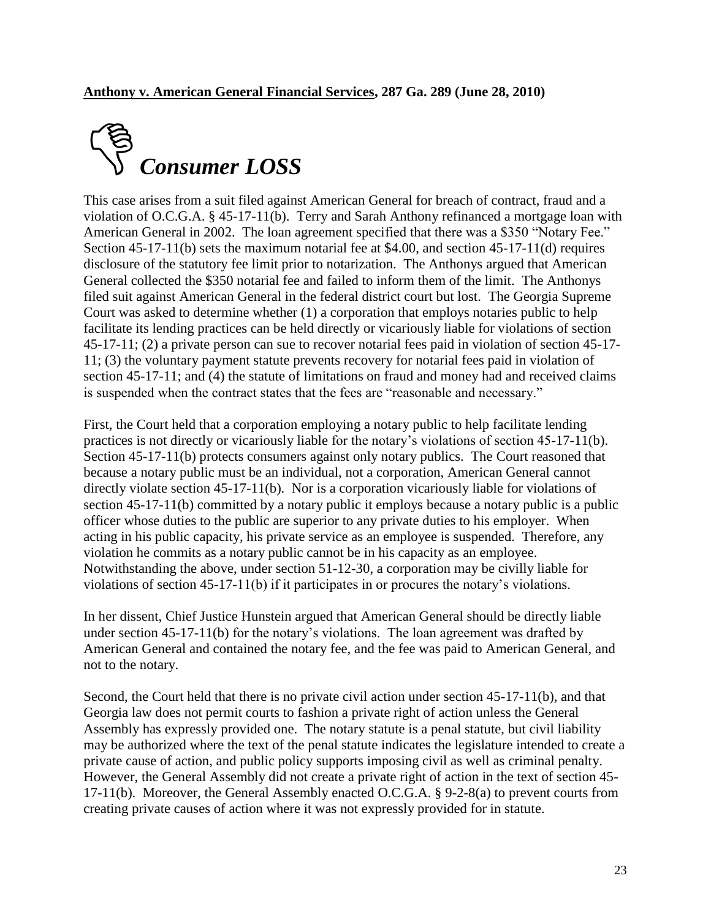

This case arises from a suit filed against American General for breach of contract, fraud and a violation of O.C.G.A. § 45-17-11(b). Terry and Sarah Anthony refinanced a mortgage loan with American General in 2002. The loan agreement specified that there was a \$350 "Notary Fee." Section 45-17-11(b) sets the maximum notarial fee at \$4.00, and section 45-17-11(d) requires disclosure of the statutory fee limit prior to notarization. The Anthonys argued that American General collected the \$350 notarial fee and failed to inform them of the limit. The Anthonys filed suit against American General in the federal district court but lost. The Georgia Supreme Court was asked to determine whether (1) a corporation that employs notaries public to help facilitate its lending practices can be held directly or vicariously liable for violations of section 45-17-11; (2) a private person can sue to recover notarial fees paid in violation of section 45-17- 11; (3) the voluntary payment statute prevents recovery for notarial fees paid in violation of section 45-17-11; and (4) the statute of limitations on fraud and money had and received claims is suspended when the contract states that the fees are "reasonable and necessary."

First, the Court held that a corporation employing a notary public to help facilitate lending practices is not directly or vicariously liable for the notary's violations of section 45-17-11(b). Section 45-17-11(b) protects consumers against only notary publics. The Court reasoned that because a notary public must be an individual, not a corporation, American General cannot directly violate section 45-17-11(b). Nor is a corporation vicariously liable for violations of section 45-17-11(b) committed by a notary public it employs because a notary public is a public officer whose duties to the public are superior to any private duties to his employer. When acting in his public capacity, his private service as an employee is suspended. Therefore, any violation he commits as a notary public cannot be in his capacity as an employee. Notwithstanding the above, under section 51-12-30, a corporation may be civilly liable for violations of section 45-17-11(b) if it participates in or procures the notary's violations.

In her dissent, Chief Justice Hunstein argued that American General should be directly liable under section 45-17-11(b) for the notary's violations. The loan agreement was drafted by American General and contained the notary fee, and the fee was paid to American General, and not to the notary.

Second, the Court held that there is no private civil action under section 45-17-11(b), and that Georgia law does not permit courts to fashion a private right of action unless the General Assembly has expressly provided one. The notary statute is a penal statute, but civil liability may be authorized where the text of the penal statute indicates the legislature intended to create a private cause of action, and public policy supports imposing civil as well as criminal penalty. However, the General Assembly did not create a private right of action in the text of section 45- 17-11(b). Moreover, the General Assembly enacted O.C.G.A. § 9-2-8(a) to prevent courts from creating private causes of action where it was not expressly provided for in statute.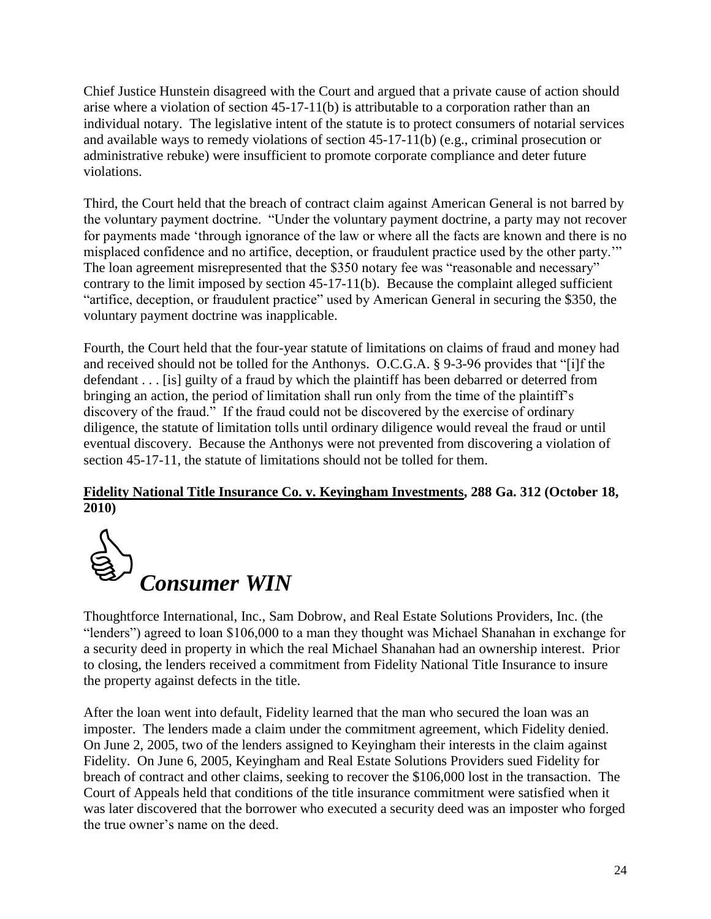Chief Justice Hunstein disagreed with the Court and argued that a private cause of action should arise where a violation of section 45-17-11(b) is attributable to a corporation rather than an individual notary. The legislative intent of the statute is to protect consumers of notarial services and available ways to remedy violations of section 45-17-11(b) (e.g., criminal prosecution or administrative rebuke) were insufficient to promote corporate compliance and deter future violations.

Third, the Court held that the breach of contract claim against American General is not barred by the voluntary payment doctrine. "Under the voluntary payment doctrine, a party may not recover for payments made 'through ignorance of the law or where all the facts are known and there is no misplaced confidence and no artifice, deception, or fraudulent practice used by the other party." The loan agreement misrepresented that the \$350 notary fee was "reasonable and necessary" contrary to the limit imposed by section 45-17-11(b). Because the complaint alleged sufficient "artifice, deception, or fraudulent practice" used by American General in securing the \$350, the voluntary payment doctrine was inapplicable.

Fourth, the Court held that the four-year statute of limitations on claims of fraud and money had and received should not be tolled for the Anthonys. O.C.G.A.  $\S$  9-3-96 provides that "[i]f the defendant . . . [is] guilty of a fraud by which the plaintiff has been debarred or deterred from bringing an action, the period of limitation shall run only from the time of the plaintiff's discovery of the fraud." If the fraud could not be discovered by the exercise of ordinary diligence, the statute of limitation tolls until ordinary diligence would reveal the fraud or until eventual discovery. Because the Anthonys were not prevented from discovering a violation of section 45-17-11, the statute of limitations should not be tolled for them.

#### **Fidelity National Title Insurance Co. v. Keyingham Investments, 288 Ga. 312 (October 18, 2010)**



Thoughtforce International, Inc., Sam Dobrow, and Real Estate Solutions Providers, Inc. (the "lenders") agreed to loan \$106,000 to a man they thought was Michael Shanahan in exchange for a security deed in property in which the real Michael Shanahan had an ownership interest. Prior to closing, the lenders received a commitment from Fidelity National Title Insurance to insure the property against defects in the title.

After the loan went into default, Fidelity learned that the man who secured the loan was an imposter. The lenders made a claim under the commitment agreement, which Fidelity denied. On June 2, 2005, two of the lenders assigned to Keyingham their interests in the claim against Fidelity. On June 6, 2005, Keyingham and Real Estate Solutions Providers sued Fidelity for breach of contract and other claims, seeking to recover the \$106,000 lost in the transaction. The Court of Appeals held that conditions of the title insurance commitment were satisfied when it was later discovered that the borrower who executed a security deed was an imposter who forged the true owner's name on the deed.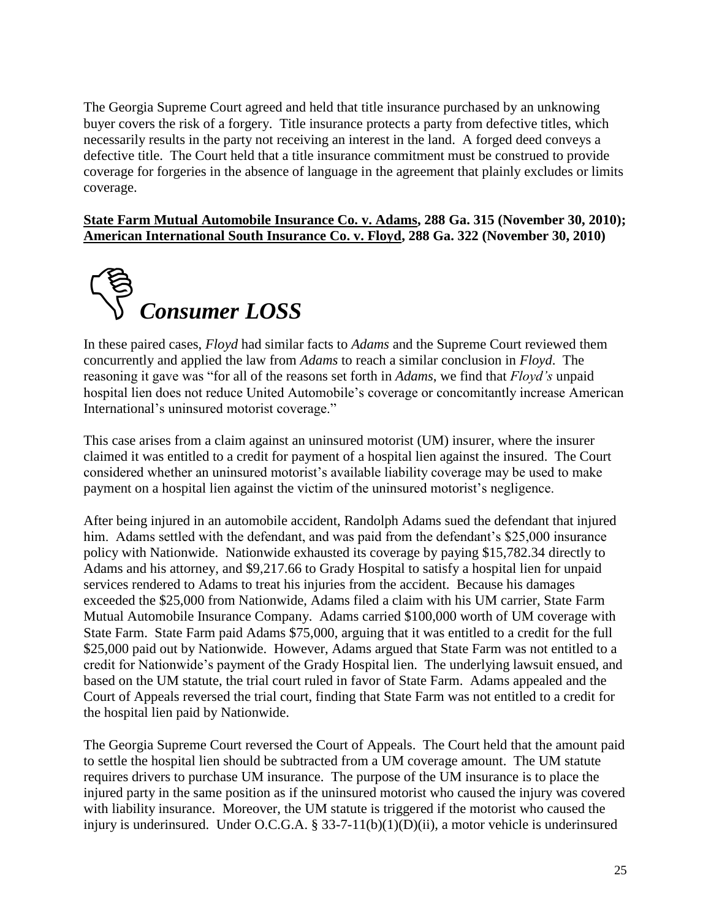The Georgia Supreme Court agreed and held that title insurance purchased by an unknowing buyer covers the risk of a forgery. Title insurance protects a party from defective titles, which necessarily results in the party not receiving an interest in the land. A forged deed conveys a defective title. The Court held that a title insurance commitment must be construed to provide coverage for forgeries in the absence of language in the agreement that plainly excludes or limits coverage.

#### **State Farm Mutual Automobile Insurance Co. v. Adams, 288 Ga. 315 (November 30, 2010); American International South Insurance Co. v. Floyd, 288 Ga. 322 (November 30, 2010)**



In these paired cases, *Floyd* had similar facts to *Adams* and the Supreme Court reviewed them concurrently and applied the law from *Adams* to reach a similar conclusion in *Floyd*. The reasoning it gave was "for all of the reasons set forth in *Adams*, we find that *Floyd's* unpaid hospital lien does not reduce United Automobile's coverage or concomitantly increase American International's uninsured motorist coverage."

This case arises from a claim against an uninsured motorist (UM) insurer, where the insurer claimed it was entitled to a credit for payment of a hospital lien against the insured. The Court considered whether an uninsured motorist's available liability coverage may be used to make payment on a hospital lien against the victim of the uninsured motorist's negligence.

After being injured in an automobile accident, Randolph Adams sued the defendant that injured him. Adams settled with the defendant, and was paid from the defendant's \$25,000 insurance policy with Nationwide. Nationwide exhausted its coverage by paying \$15,782.34 directly to Adams and his attorney, and \$9,217.66 to Grady Hospital to satisfy a hospital lien for unpaid services rendered to Adams to treat his injuries from the accident. Because his damages exceeded the \$25,000 from Nationwide, Adams filed a claim with his UM carrier, State Farm Mutual Automobile Insurance Company. Adams carried \$100,000 worth of UM coverage with State Farm. State Farm paid Adams \$75,000, arguing that it was entitled to a credit for the full \$25,000 paid out by Nationwide. However, Adams argued that State Farm was not entitled to a credit for Nationwide's payment of the Grady Hospital lien. The underlying lawsuit ensued, and based on the UM statute, the trial court ruled in favor of State Farm. Adams appealed and the Court of Appeals reversed the trial court, finding that State Farm was not entitled to a credit for the hospital lien paid by Nationwide.

The Georgia Supreme Court reversed the Court of Appeals. The Court held that the amount paid to settle the hospital lien should be subtracted from a UM coverage amount. The UM statute requires drivers to purchase UM insurance. The purpose of the UM insurance is to place the injured party in the same position as if the uninsured motorist who caused the injury was covered with liability insurance. Moreover, the UM statute is triggered if the motorist who caused the injury is underinsured. Under O.C.G.A. § 33-7-11(b)(1)(D)(ii), a motor vehicle is underinsured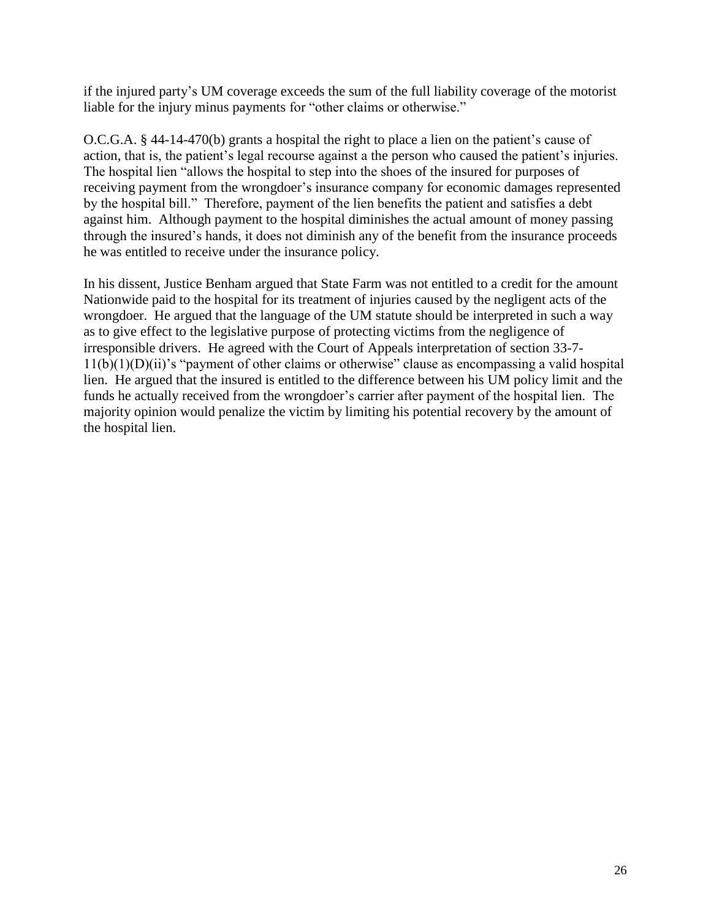if the injured party's UM coverage exceeds the sum of the full liability coverage of the motorist liable for the injury minus payments for "other claims or otherwise."

O.C.G.A. § 44-14-470(b) grants a hospital the right to place a lien on the patient's cause of action, that is, the patient's legal recourse against a the person who caused the patient's injuries. The hospital lien "allows the hospital to step into the shoes of the insured for purposes of receiving payment from the wrongdoer's insurance company for economic damages represented by the hospital bill." Therefore, payment of the lien benefits the patient and satisfies a debt against him. Although payment to the hospital diminishes the actual amount of money passing through the insured's hands, it does not diminish any of the benefit from the insurance proceeds he was entitled to receive under the insurance policy.

In his dissent, Justice Benham argued that State Farm was not entitled to a credit for the amount Nationwide paid to the hospital for its treatment of injuries caused by the negligent acts of the wrongdoer. He argued that the language of the UM statute should be interpreted in such a way as to give effect to the legislative purpose of protecting victims from the negligence of irresponsible drivers. He agreed with the Court of Appeals interpretation of section 33-7-  $11(b)(1)(D)(ii)$ 's "payment of other claims or otherwise" clause as encompassing a valid hospital lien. He argued that the insured is entitled to the difference between his UM policy limit and the funds he actually received from the wrongdoer's carrier after payment of the hospital lien. The majority opinion would penalize the victim by limiting his potential recovery by the amount of the hospital lien.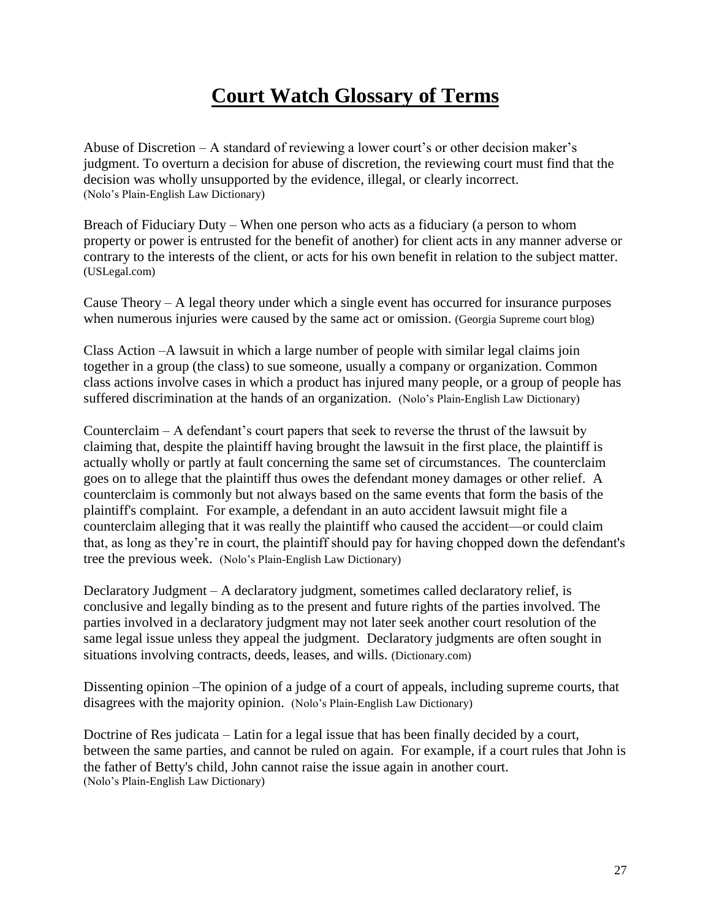## **Court Watch Glossary of Terms**

Abuse of Discretion – A standard of reviewing a lower court's or other decision maker's judgment. To overturn a decision for abuse of discretion, the reviewing court must find that the decision was wholly unsupported by the evidence, illegal, or clearly incorrect. (Nolo's Plain-English Law Dictionary)

Breach of Fiduciary Duty – When one person who acts as a fiduciary (a person to whom property or power is entrusted for the benefit of another) for client acts in any manner adverse or contrary to the interests of the client, or acts for his own benefit in relation to the subject matter. (USLegal.com)

Cause Theory – A legal theory under which a single event has occurred for insurance purposes when numerous injuries were caused by the same act or omission. (Georgia Supreme court blog)

Class Action –A lawsuit in which a large number of people with similar legal claims join together in a group (the class) to sue someone, usually a company or organization. Common class actions involve cases in which a product has injured many people, or a group of people has suffered discrimination at the hands of an organization. (Nolo's Plain-English Law Dictionary)

Counterclaim – A defendant's court papers that seek to reverse the thrust of the lawsuit by claiming that, despite the plaintiff having brought the lawsuit in the first place, the plaintiff is actually wholly or partly at fault concerning the same set of circumstances. The counterclaim goes on to allege that the plaintiff thus owes the defendant money damages or other relief. A counterclaim is commonly but not always based on the same events that form the basis of the plaintiff's complaint. For example, a defendant in an auto accident lawsuit might file a counterclaim alleging that it was really the plaintiff who caused the accident—or could claim that, as long as they're in court, the plaintiff should pay for having chopped down the defendant's tree the previous week. (Nolo's Plain-English Law Dictionary)

Declaratory Judgment – A declaratory judgment, sometimes called declaratory relief, is conclusive and legally binding as to the present and future rights of the parties involved. The parties involved in a declaratory judgment may not later seek another court resolution of the same legal issue unless they appeal the judgment. Declaratory judgments are often sought in situations involving contracts, deeds, leases, and wills. (Dictionary.com)

Dissenting opinion –The opinion of a judge of a court of appeals, including supreme courts, that disagrees with the majority opinion. (Nolo's Plain-English Law Dictionary)

Doctrine of Res judicata – Latin for a legal issue that has been finally decided by a court, between the same parties, and cannot be ruled on again. For example, if a court rules that John is the father of Betty's child, John cannot raise the issue again in another court. (Nolo's Plain-English Law Dictionary)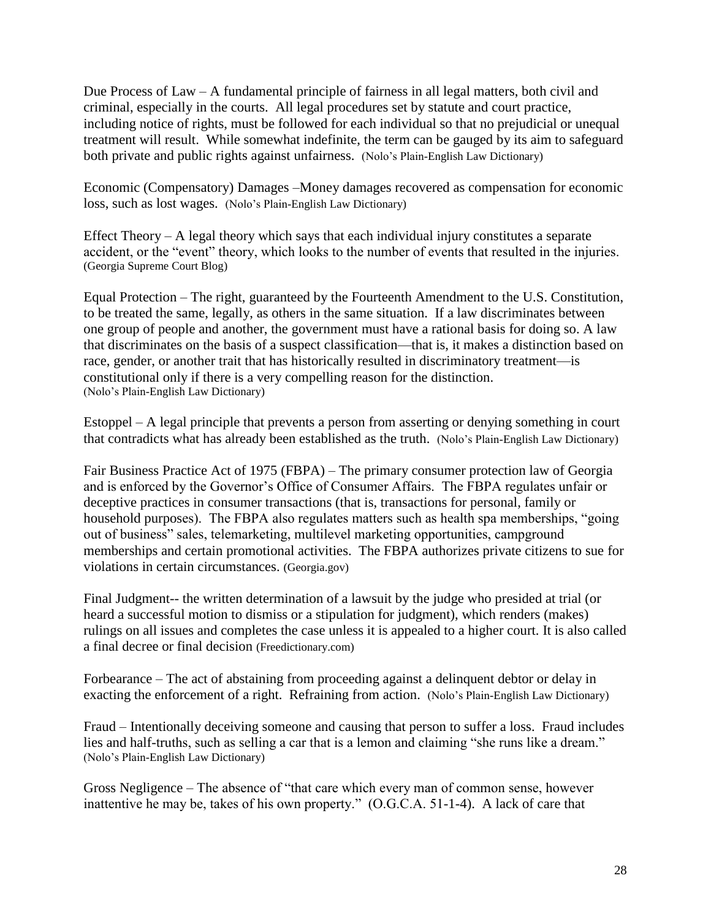Due Process of Law  $-A$  fundamental principle of fairness in all legal matters, both civil and criminal, especially in the courts. All legal procedures set by statute and court practice, including notice of rights, must be followed for each individual so that no prejudicial or unequal treatment will result. While somewhat indefinite, the term can be gauged by its aim to safeguard both private and public rights against unfairness. (Nolo's Plain-English Law Dictionary)

Economic (Compensatory) Damages –Money damages recovered as compensation for economic loss, such as lost wages. (Nolo's Plain-English Law Dictionary)

Effect Theory – A legal theory which says that each individual injury constitutes a separate accident, or the "event" theory, which looks to the number of events that resulted in the injuries. (Georgia Supreme Court Blog)

Equal Protection – The right, guaranteed by the Fourteenth Amendment to the U.S. Constitution, to be treated the same, legally, as others in the same situation. If a law discriminates between one group of people and another, the government must have a rational basis for doing so. A law that discriminates on the basis of a suspect classification—that is, it makes a distinction based on race, gender, or another trait that has historically resulted in discriminatory treatment—is constitutional only if there is a very compelling reason for the distinction. (Nolo's Plain-English Law Dictionary)

Estoppel – A legal principle that prevents a person from asserting or denying something in court that contradicts what has already been established as the truth. (Nolo's Plain-English Law Dictionary)

Fair Business Practice Act of 1975 (FBPA) – The primary consumer protection law of Georgia and is enforced by the Governor's Office of Consumer Affairs. The FBPA regulates unfair or deceptive practices in consumer transactions (that is, transactions for personal, family or household purposes). The FBPA also regulates matters such as health spa memberships, "going out of business" sales, telemarketing, multilevel marketing opportunities, campground memberships and certain promotional activities. The FBPA authorizes private citizens to sue for violations in certain circumstances. (Georgia.gov)

Final Judgment-- the written determination of a lawsuit by the judge who presided at trial (or heard a successful motion to dismiss or a stipulation for judgment), which renders (makes) rulings on all issues and completes the case unless it is appealed to a higher court. It is also called a final decree or final decision (Freedictionary.com)

Forbearance – The act of abstaining from proceeding against a delinquent debtor or delay in exacting the enforcement of a right. Refraining from action. (Nolo's Plain-English Law Dictionary)

Fraud – Intentionally deceiving someone and causing that person to suffer a loss. Fraud includes lies and half-truths, such as selling a car that is a lemon and claiming "she runs like a dream." (Nolo's Plain-English Law Dictionary)

Gross Negligence – The absence of "that care which every man of common sense, however inattentive he may be, takes of his own property." (O.G.C.A. 51-1-4). A lack of care that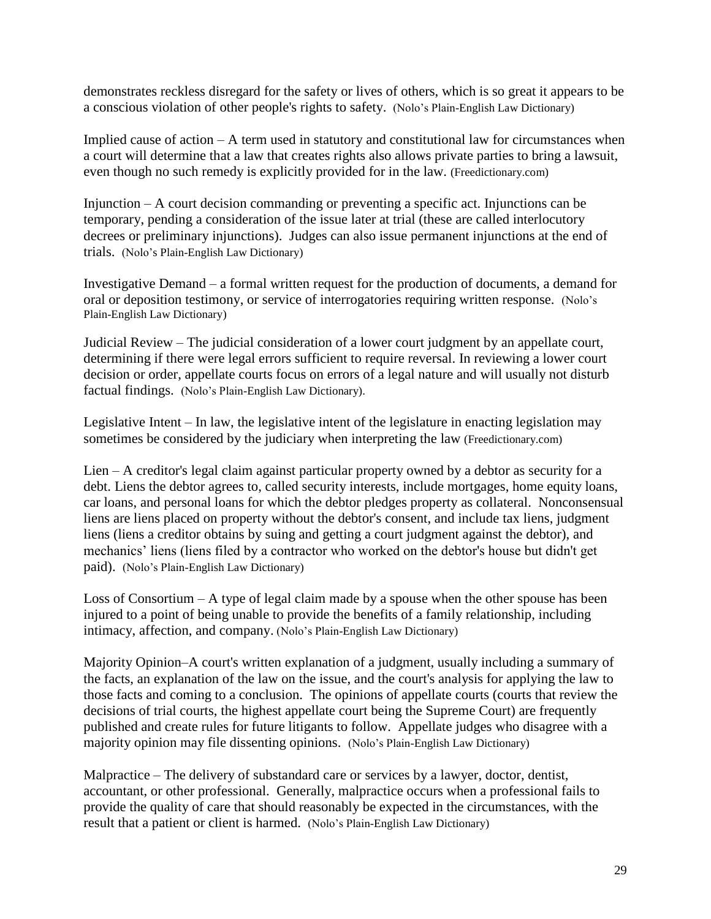demonstrates reckless disregard for the safety or lives of others, which is so great it appears to be a conscious violation of other people's rights to safety. (Nolo's Plain-English Law Dictionary)

Implied cause of action  $-A$  term used in statutory and constitutional law for circumstances when a court will determine that a law that creates rights also allows private parties to bring a lawsuit, even though no such remedy is explicitly provided for in the law. (Freedictionary.com)

Injunction – A court decision commanding or preventing a specific act. Injunctions can be temporary, pending a consideration of the issue later at trial (these are called interlocutory decrees or preliminary injunctions). Judges can also issue permanent injunctions at the end of trials. (Nolo's Plain-English Law Dictionary)

Investigative Demand – a formal written request for the production of documents, a demand for oral or deposition testimony, or service of interrogatories requiring written response. (Nolo's Plain-English Law Dictionary)

Judicial Review – The judicial consideration of a lower court judgment by an appellate court, determining if there were legal errors sufficient to require reversal. In reviewing a lower court decision or order, appellate courts focus on errors of a legal nature and will usually not disturb factual findings. (Nolo's Plain-English Law Dictionary).

Legislative Intent – In law, the legislative intent of the legislature in enacting legislation may sometimes be considered by the judiciary when interpreting the law (Freedictionary.com)

Lien – A creditor's legal claim against particular property owned by a debtor as security for a debt. Liens the debtor agrees to, called security interests, include mortgages, home equity loans, car loans, and personal loans for which the debtor pledges property as collateral. Nonconsensual liens are liens placed on property without the debtor's consent, and include tax liens, judgment liens (liens a creditor obtains by suing and getting a court judgment against the debtor), and mechanics' liens (liens filed by a contractor who worked on the debtor's house but didn't get paid). (Nolo's Plain-English Law Dictionary)

Loss of Consortium – A type of legal claim made by a spouse when the other spouse has been injured to a point of being unable to provide the benefits of a family relationship, including intimacy, affection, and company. (Nolo's Plain-English Law Dictionary)

Majority Opinion–A court's written explanation of a judgment, usually including a summary of the facts, an explanation of the law on the issue, and the court's analysis for applying the law to those facts and coming to a conclusion. The opinions of appellate courts (courts that review the decisions of trial courts, the highest appellate court being the Supreme Court) are frequently published and create rules for future litigants to follow. Appellate judges who disagree with a majority opinion may file dissenting opinions. (Nolo's Plain-English Law Dictionary)

Malpractice – The delivery of substandard care or services by a lawyer, doctor, dentist, accountant, or other professional. Generally, malpractice occurs when a professional fails to provide the quality of care that should reasonably be expected in the circumstances, with the result that a patient or client is harmed. (Nolo's Plain-English Law Dictionary)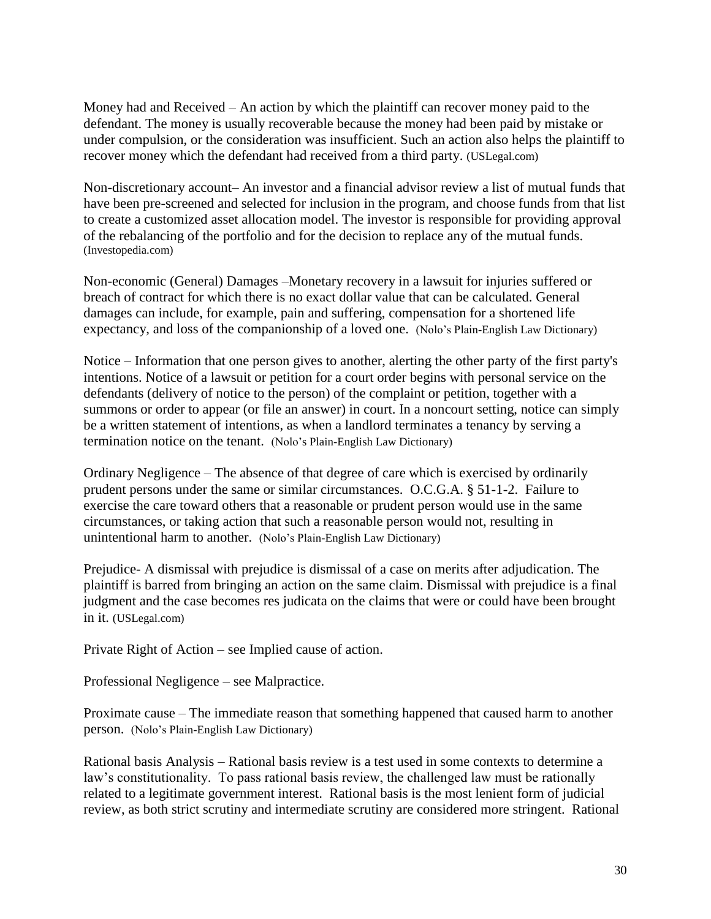Money had and Received – An action by which the plaintiff can recover money paid to the defendant. The money is usually recoverable because the money had been paid by mistake or under compulsion, or the consideration was insufficient. Such an action also helps the plaintiff to recover money which the defendant had received from a third party. (USLegal.com)

Non-discretionary account– An investor and a financial advisor review a list of mutual funds that have been pre-screened and selected for inclusion in the program, and choose funds from that list to create a customized asset allocation model. The investor is responsible for providing approval of the rebalancing of the portfolio and for the decision to replace any of the mutual funds. (Investopedia.com)

Non-economic (General) Damages –Monetary recovery in a lawsuit for injuries suffered or breach of contract for which there is no exact dollar value that can be calculated. General damages can include, for example, pain and suffering, compensation for a shortened life expectancy, and loss of the companionship of a loved one. (Nolo's Plain-English Law Dictionary)

Notice – Information that one person gives to another, alerting the other party of the first party's intentions. Notice of a lawsuit or petition for a court order begins with personal service on the defendants (delivery of notice to the person) of the complaint or petition, together with a summons or order to appear (or file an answer) in court. In a noncourt setting, notice can simply be a written statement of intentions, as when a landlord terminates a tenancy by serving a termination notice on the tenant. (Nolo's Plain-English Law Dictionary)

Ordinary Negligence – The absence of that degree of care which is exercised by ordinarily prudent persons under the same or similar circumstances. O.C.G.A. § 51-1-2. Failure to exercise the care toward others that a reasonable or prudent person would use in the same circumstances, or taking action that such a reasonable person would not, resulting in unintentional harm to another. (Nolo's Plain-English Law Dictionary)

Prejudice- A dismissal with prejudice is dismissal of a case on merits after adjudication. The plaintiff is barred from bringing an action on the same claim. Dismissal with prejudice is a final judgment and the case becomes res judicata on the claims that were or could have been brought in it. (USLegal.com)

Private Right of Action – see Implied cause of action.

Professional Negligence – see Malpractice.

Proximate cause – The immediate reason that something happened that caused harm to another person. (Nolo's Plain-English Law Dictionary)

Rational basis Analysis – Rational basis review is a test used in some contexts to determine a law's constitutionality. To pass rational basis review, the challenged law must be rationally related to a legitimate government interest. Rational basis is the most lenient form of judicial review, as both strict scrutiny and intermediate scrutiny are considered more stringent. Rational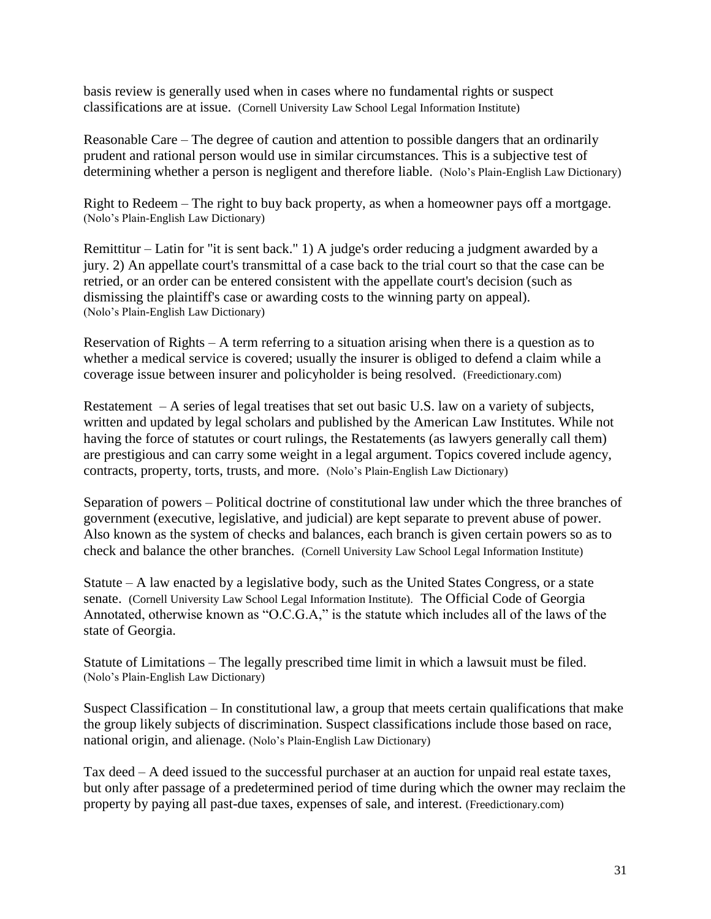basis review is generally used when in cases where no fundamental rights or suspect classifications are at issue. (Cornell University Law School Legal Information Institute)

Reasonable Care – The degree of caution and attention to possible dangers that an ordinarily prudent and rational person would use in similar circumstances. This is a subjective test of determining whether a person is negligent and therefore liable. (Nolo's Plain-English Law Dictionary)

Right to Redeem – The right to buy back property, as when a homeowner pays off a mortgage. (Nolo's Plain-English Law Dictionary)

Remittitur – Latin for "it is sent back." 1) A judge's order reducing a judgment awarded by a jury. 2) An appellate court's transmittal of a case back to the trial court so that the case can be retried, or an order can be entered consistent with the appellate court's decision (such as dismissing the plaintiff's case or awarding costs to the winning party on appeal). (Nolo's Plain-English Law Dictionary)

Reservation of Rights  $-A$  term referring to a situation arising when there is a question as to whether a medical service is covered; usually the insurer is obliged to defend a claim while a coverage issue between insurer and policyholder is being resolved. (Freedictionary.com)

Restatement – A series of legal treatises that set out basic U.S. law on a variety of subjects, written and updated by legal scholars and published by the American Law Institutes. While not having the force of statutes or court rulings, the Restatements (as lawyers generally call them) are prestigious and can carry some weight in a legal argument. Topics covered include agency, contracts, property, torts, trusts, and more. (Nolo's Plain-English Law Dictionary)

Separation of powers – Political doctrine of constitutional law under which the three branches of government (executive, legislative, and judicial) are kept separate to prevent abuse of power. Also known as the system of checks and balances, each branch is given certain powers so as to check and balance the other branches. (Cornell University Law School Legal Information Institute)

Statute  $- A$  law enacted by a legislative body, such as the United States Congress, or a state senate. (Cornell University Law School Legal Information Institute). The Official Code of Georgia Annotated, otherwise known as " $O.C.G.A$ ," is the statute which includes all of the laws of the state of Georgia.

Statute of Limitations – The legally prescribed time limit in which a lawsuit must be filed. (Nolo's Plain-English Law Dictionary)

Suspect Classification – In constitutional law, a group that meets certain qualifications that make the group likely subjects of discrimination. Suspect classifications include those based on race, national origin, and alienage. (Nolo's Plain-English Law Dictionary)

Tax deed – A deed issued to the successful purchaser at an auction for unpaid real estate taxes, but only after passage of a predetermined period of time during which the owner may reclaim the property by paying all past-due taxes, expenses of sale, and interest. (Freedictionary.com)